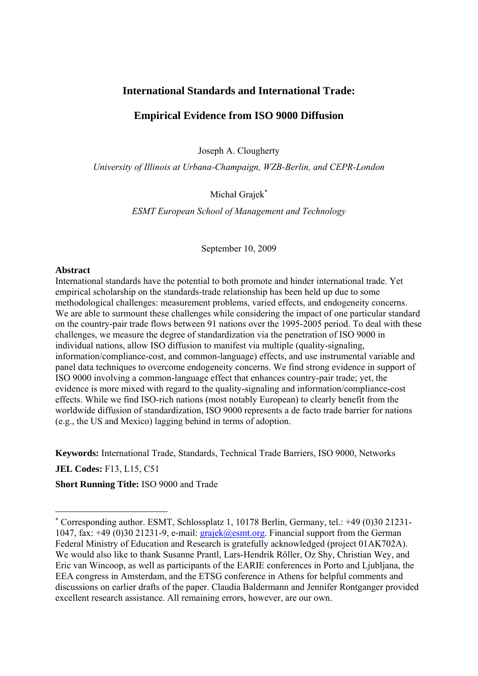# **International Standards and International Trade:**

# **Empirical Evidence from ISO 9000 Diffusion**

Joseph A. Clougherty

*University of Illinois at Urbana-Champaign, WZB-Berlin, and CEPR-London* 

Michał Grajek

*ESMT European School of Management and Technology* 

September 10, 2009

## **Abstract**

International standards have the potential to both promote and hinder international trade. Yet empirical scholarship on the standards-trade relationship has been held up due to some methodological challenges: measurement problems, varied effects, and endogeneity concerns. We are able to surmount these challenges while considering the impact of one particular standard on the country-pair trade flows between 91 nations over the 1995-2005 period. To deal with these challenges, we measure the degree of standardization via the penetration of ISO 9000 in individual nations, allow ISO diffusion to manifest via multiple (quality-signaling, information/compliance-cost, and common-language) effects, and use instrumental variable and panel data techniques to overcome endogeneity concerns. We find strong evidence in support of ISO 9000 involving a common-language effect that enhances country-pair trade; yet, the evidence is more mixed with regard to the quality-signaling and information/compliance-cost effects. While we find ISO-rich nations (most notably European) to clearly benefit from the worldwide diffusion of standardization, ISO 9000 represents a de facto trade barrier for nations (e.g., the US and Mexico) lagging behind in terms of adoption.

**Keywords:** International Trade, Standards, Technical Trade Barriers, ISO 9000, Networks

**JEL Codes:** F13, L15, C51

-

**Short Running Title:** ISO 9000 and Trade

 Corresponding author. ESMT, Schlossplatz 1, 10178 Berlin, Germany, tel.: +49 (0)30 21231- 1047, fax:  $+49$  (0)30 21231-9, e-mail: grajek@esmt.org. Financial support from the German Federal Ministry of Education and Research is gratefully acknowledged (project 01AK702A). We would also like to thank Susanne Prantl, Lars-Hendrik Röller, Oz Shy, Christian Wey, and Eric van Wincoop, as well as participants of the EARIE conferences in Porto and Ljubljana, the EEA congress in Amsterdam, and the ETSG conference in Athens for helpful comments and discussions on earlier drafts of the paper. Claudia Baldermann and Jennifer Rontganger provided excellent research assistance. All remaining errors, however, are our own.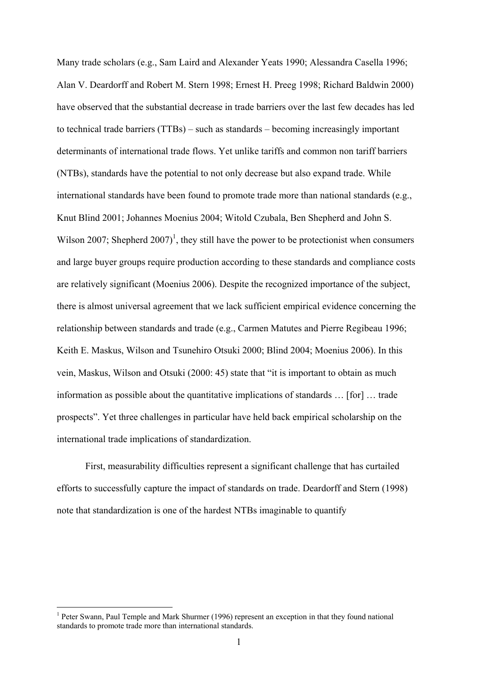Many trade scholars (e.g., Sam Laird and Alexander Yeats 1990; Alessandra Casella 1996; Alan V. Deardorff and Robert M. Stern 1998; Ernest H. Preeg 1998; Richard Baldwin 2000) have observed that the substantial decrease in trade barriers over the last few decades has led to technical trade barriers (TTBs) – such as standards – becoming increasingly important determinants of international trade flows. Yet unlike tariffs and common non tariff barriers (NTBs), standards have the potential to not only decrease but also expand trade. While international standards have been found to promote trade more than national standards (e.g., Knut Blind 2001; Johannes Moenius 2004; Witold Czubala, Ben Shepherd and John S. Wilson 2007; Shepherd  $2007$ <sup>1</sup>, they still have the power to be protectionist when consumers and large buyer groups require production according to these standards and compliance costs are relatively significant (Moenius 2006). Despite the recognized importance of the subject, there is almost universal agreement that we lack sufficient empirical evidence concerning the relationship between standards and trade (e.g., Carmen Matutes and Pierre Regibeau 1996; Keith E. Maskus, Wilson and Tsunehiro Otsuki 2000; Blind 2004; Moenius 2006). In this vein, Maskus, Wilson and Otsuki (2000: 45) state that "it is important to obtain as much information as possible about the quantitative implications of standards … [for] … trade prospects". Yet three challenges in particular have held back empirical scholarship on the international trade implications of standardization.

 First, measurability difficulties represent a significant challenge that has curtailed efforts to successfully capture the impact of standards on trade. Deardorff and Stern (1998) note that standardization is one of the hardest NTBs imaginable to quantify

<sup>&</sup>lt;sup>1</sup> Peter Swann, Paul Temple and Mark Shurmer (1996) represent an exception in that they found national standards to promote trade more than international standards.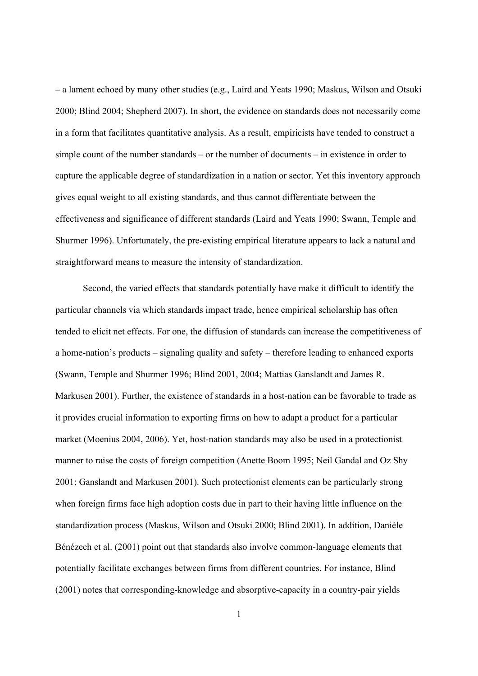– a lament echoed by many other studies (e.g., Laird and Yeats 1990; Maskus, Wilson and Otsuki 2000; Blind 2004; Shepherd 2007). In short, the evidence on standards does not necessarily come in a form that facilitates quantitative analysis. As a result, empiricists have tended to construct a simple count of the number standards – or the number of documents – in existence in order to capture the applicable degree of standardization in a nation or sector. Yet this inventory approach gives equal weight to all existing standards, and thus cannot differentiate between the effectiveness and significance of different standards (Laird and Yeats 1990; Swann, Temple and Shurmer 1996). Unfortunately, the pre-existing empirical literature appears to lack a natural and straightforward means to measure the intensity of standardization.

Second, the varied effects that standards potentially have make it difficult to identify the particular channels via which standards impact trade, hence empirical scholarship has often tended to elicit net effects. For one, the diffusion of standards can increase the competitiveness of a home-nation's products – signaling quality and safety – therefore leading to enhanced exports (Swann, Temple and Shurmer 1996; Blind 2001, 2004; Mattias Ganslandt and James R. Markusen 2001). Further, the existence of standards in a host-nation can be favorable to trade as it provides crucial information to exporting firms on how to adapt a product for a particular market (Moenius 2004, 2006). Yet, host-nation standards may also be used in a protectionist manner to raise the costs of foreign competition (Anette Boom 1995; Neil Gandal and Oz Shy 2001; Ganslandt and Markusen 2001). Such protectionist elements can be particularly strong when foreign firms face high adoption costs due in part to their having little influence on the standardization process (Maskus, Wilson and Otsuki 2000; Blind 2001). In addition, Danièle Bénézech et al. (2001) point out that standards also involve common-language elements that potentially facilitate exchanges between firms from different countries. For instance, Blind (2001) notes that corresponding-knowledge and absorptive-capacity in a country-pair yields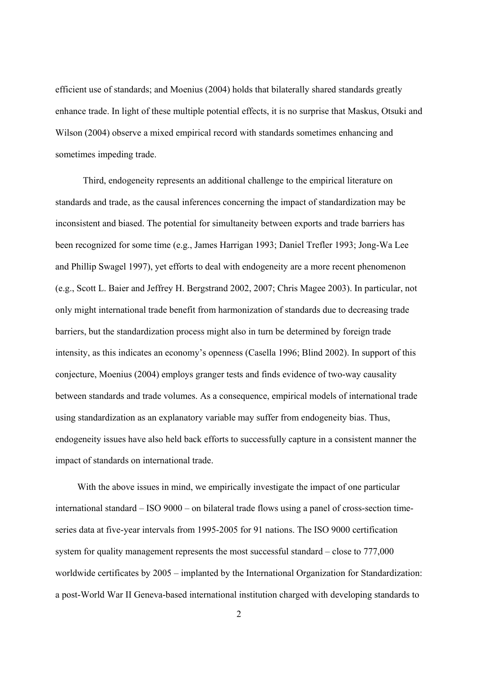efficient use of standards; and Moenius (2004) holds that bilaterally shared standards greatly enhance trade. In light of these multiple potential effects, it is no surprise that Maskus, Otsuki and Wilson (2004) observe a mixed empirical record with standards sometimes enhancing and sometimes impeding trade.

Third, endogeneity represents an additional challenge to the empirical literature on standards and trade, as the causal inferences concerning the impact of standardization may be inconsistent and biased. The potential for simultaneity between exports and trade barriers has been recognized for some time (e.g., James Harrigan 1993; Daniel Trefler 1993; Jong-Wa Lee and Phillip Swagel 1997), yet efforts to deal with endogeneity are a more recent phenomenon (e.g., Scott L. Baier and Jeffrey H. Bergstrand 2002, 2007; Chris Magee 2003). In particular, not only might international trade benefit from harmonization of standards due to decreasing trade barriers, but the standardization process might also in turn be determined by foreign trade intensity, as this indicates an economy's openness (Casella 1996; Blind 2002). In support of this conjecture, Moenius (2004) employs granger tests and finds evidence of two-way causality between standards and trade volumes. As a consequence, empirical models of international trade using standardization as an explanatory variable may suffer from endogeneity bias. Thus, endogeneity issues have also held back efforts to successfully capture in a consistent manner the impact of standards on international trade.

With the above issues in mind, we empirically investigate the impact of one particular international standard – ISO 9000 – on bilateral trade flows using a panel of cross-section timeseries data at five-year intervals from 1995-2005 for 91 nations. The ISO 9000 certification system for quality management represents the most successful standard – close to 777,000 worldwide certificates by 2005 – implanted by the International Organization for Standardization: a post-World War II Geneva-based international institution charged with developing standards to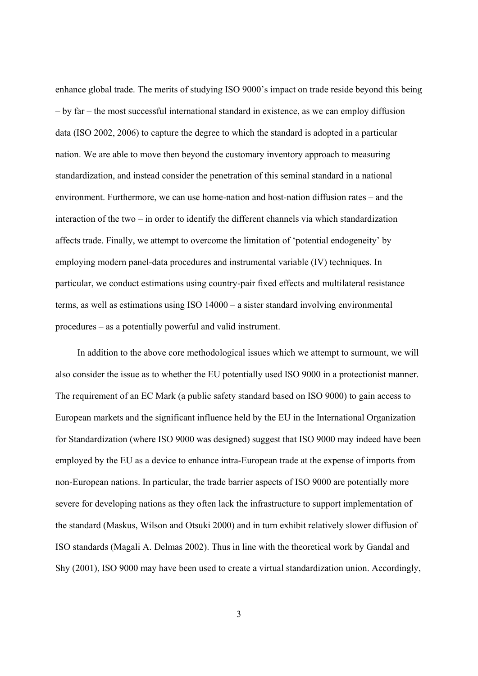enhance global trade. The merits of studying ISO 9000's impact on trade reside beyond this being – by far – the most successful international standard in existence, as we can employ diffusion data (ISO 2002, 2006) to capture the degree to which the standard is adopted in a particular nation. We are able to move then beyond the customary inventory approach to measuring standardization, and instead consider the penetration of this seminal standard in a national environment. Furthermore, we can use home-nation and host-nation diffusion rates – and the interaction of the two – in order to identify the different channels via which standardization affects trade. Finally, we attempt to overcome the limitation of 'potential endogeneity' by employing modern panel-data procedures and instrumental variable (IV) techniques. In particular, we conduct estimations using country-pair fixed effects and multilateral resistance terms, as well as estimations using ISO 14000 – a sister standard involving environmental procedures – as a potentially powerful and valid instrument.

In addition to the above core methodological issues which we attempt to surmount, we will also consider the issue as to whether the EU potentially used ISO 9000 in a protectionist manner. The requirement of an EC Mark (a public safety standard based on ISO 9000) to gain access to European markets and the significant influence held by the EU in the International Organization for Standardization (where ISO 9000 was designed) suggest that ISO 9000 may indeed have been employed by the EU as a device to enhance intra-European trade at the expense of imports from non-European nations. In particular, the trade barrier aspects of ISO 9000 are potentially more severe for developing nations as they often lack the infrastructure to support implementation of the standard (Maskus, Wilson and Otsuki 2000) and in turn exhibit relatively slower diffusion of ISO standards (Magali A. Delmas 2002). Thus in line with the theoretical work by Gandal and Shy (2001), ISO 9000 may have been used to create a virtual standardization union. Accordingly,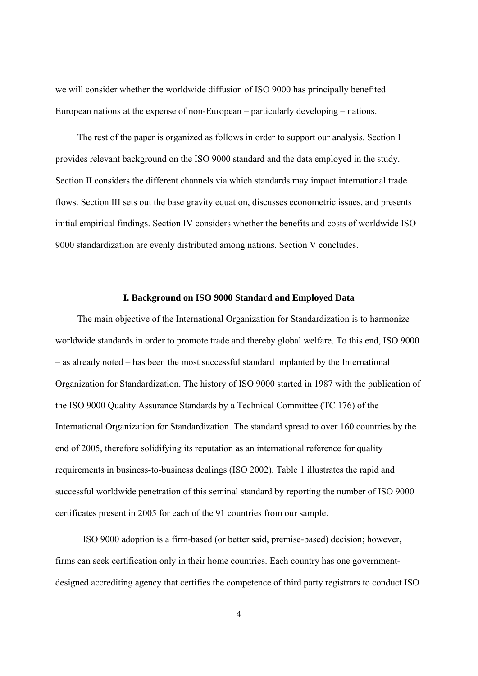we will consider whether the worldwide diffusion of ISO 9000 has principally benefited European nations at the expense of non-European – particularly developing – nations.

The rest of the paper is organized as follows in order to support our analysis. Section I provides relevant background on the ISO 9000 standard and the data employed in the study. Section II considers the different channels via which standards may impact international trade flows. Section III sets out the base gravity equation, discusses econometric issues, and presents initial empirical findings. Section IV considers whether the benefits and costs of worldwide ISO 9000 standardization are evenly distributed among nations. Section V concludes.

### **I. Background on ISO 9000 Standard and Employed Data**

The main objective of the International Organization for Standardization is to harmonize worldwide standards in order to promote trade and thereby global welfare. To this end, ISO 9000 – as already noted – has been the most successful standard implanted by the International Organization for Standardization. The history of ISO 9000 started in 1987 with the publication of the ISO 9000 Quality Assurance Standards by a Technical Committee (TC 176) of the International Organization for Standardization. The standard spread to over 160 countries by the end of 2005, therefore solidifying its reputation as an international reference for quality requirements in business-to-business dealings (ISO 2002). Table 1 illustrates the rapid and successful worldwide penetration of this seminal standard by reporting the number of ISO 9000 certificates present in 2005 for each of the 91 countries from our sample.

ISO 9000 adoption is a firm-based (or better said, premise-based) decision; however, firms can seek certification only in their home countries. Each country has one governmentdesigned accrediting agency that certifies the competence of third party registrars to conduct ISO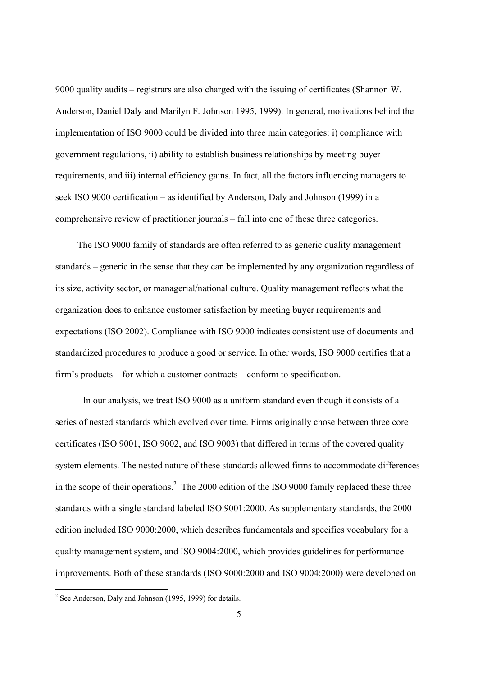9000 quality audits – registrars are also charged with the issuing of certificates (Shannon W. Anderson, Daniel Daly and Marilyn F. Johnson 1995, 1999). In general, motivations behind the implementation of ISO 9000 could be divided into three main categories: i) compliance with government regulations, ii) ability to establish business relationships by meeting buyer requirements, and iii) internal efficiency gains. In fact, all the factors influencing managers to seek ISO 9000 certification – as identified by Anderson, Daly and Johnson (1999) in a comprehensive review of practitioner journals – fall into one of these three categories.

The ISO 9000 family of standards are often referred to as generic quality management standards – generic in the sense that they can be implemented by any organization regardless of its size, activity sector, or managerial/national culture. Quality management reflects what the organization does to enhance customer satisfaction by meeting buyer requirements and expectations (ISO 2002). Compliance with ISO 9000 indicates consistent use of documents and standardized procedures to produce a good or service. In other words, ISO 9000 certifies that a firm's products – for which a customer contracts – conform to specification.

 In our analysis, we treat ISO 9000 as a uniform standard even though it consists of a series of nested standards which evolved over time. Firms originally chose between three core certificates (ISO 9001, ISO 9002, and ISO 9003) that differed in terms of the covered quality system elements. The nested nature of these standards allowed firms to accommodate differences in the scope of their operations.<sup>2</sup> The 2000 edition of the ISO 9000 family replaced these three standards with a single standard labeled ISO 9001:2000. As supplementary standards, the 2000 edition included ISO 9000:2000, which describes fundamentals and specifies vocabulary for a quality management system, and ISO 9004:2000, which provides guidelines for performance improvements. Both of these standards (ISO 9000:2000 and ISO 9004:2000) were developed on

<sup>&</sup>lt;sup>2</sup> See Anderson, Daly and Johnson (1995, 1999) for details.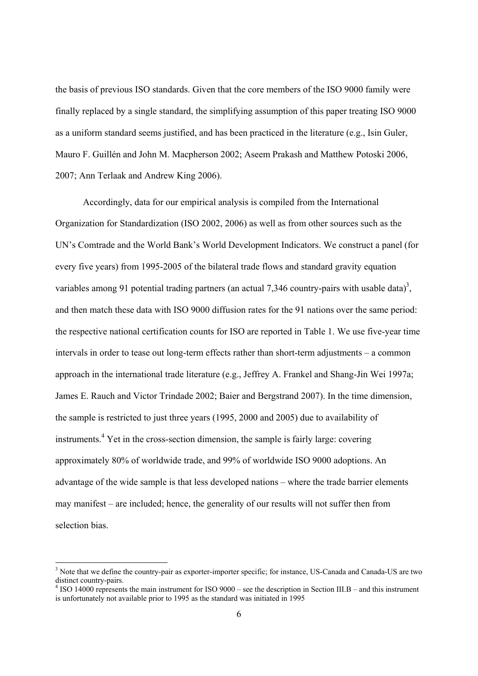the basis of previous ISO standards. Given that the core members of the ISO 9000 family were finally replaced by a single standard, the simplifying assumption of this paper treating ISO 9000 as a uniform standard seems justified, and has been practiced in the literature (e.g., Isin Guler, Mauro F. Guillén and John M. Macpherson 2002; Aseem Prakash and Matthew Potoski 2006, 2007; Ann Terlaak and Andrew King 2006).

Accordingly, data for our empirical analysis is compiled from the International Organization for Standardization (ISO 2002, 2006) as well as from other sources such as the UN's Comtrade and the World Bank's World Development Indicators. We construct a panel (for every five years) from 1995-2005 of the bilateral trade flows and standard gravity equation variables among 91 potential trading partners (an actual 7,346 country-pairs with usable data)<sup>3</sup>, and then match these data with ISO 9000 diffusion rates for the 91 nations over the same period: the respective national certification counts for ISO are reported in Table 1. We use five-year time intervals in order to tease out long-term effects rather than short-term adjustments – a common approach in the international trade literature (e.g., Jeffrey A. Frankel and Shang-Jin Wei 1997a; James E. Rauch and Victor Trindade 2002; Baier and Bergstrand 2007). In the time dimension, the sample is restricted to just three years (1995, 2000 and 2005) due to availability of instruments.<sup>4</sup> Yet in the cross-section dimension, the sample is fairly large: covering approximately 80% of worldwide trade, and 99% of worldwide ISO 9000 adoptions. An advantage of the wide sample is that less developed nations – where the trade barrier elements may manifest – are included; hence, the generality of our results will not suffer then from selection bias.

-

<sup>&</sup>lt;sup>3</sup> Note that we define the country-pair as exporter-importer specific; for instance, US-Canada and Canada-US are two distinct country-pairs.

 $4$  ISO 14000 represents the main instrument for ISO 9000 – see the description in Section III.B – and this instrument is unfortunately not available prior to 1995 as the standard was initiated in 1995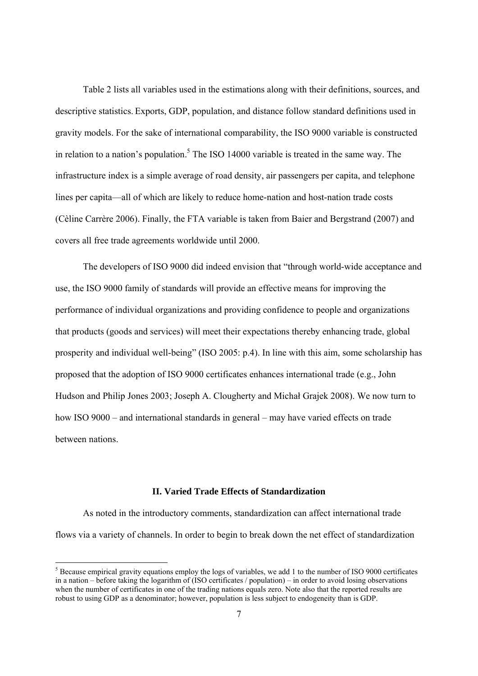Table 2 lists all variables used in the estimations along with their definitions, sources, and descriptive statistics. Exports, GDP, population, and distance follow standard definitions used in gravity models. For the sake of international comparability, the ISO 9000 variable is constructed in relation to a nation's population.<sup>5</sup> The ISO 14000 variable is treated in the same way. The infrastructure index is a simple average of road density, air passengers per capita, and telephone lines per capita—all of which are likely to reduce home-nation and host-nation trade costs (Cèline Carrère 2006). Finally, the FTA variable is taken from Baier and Bergstrand (2007) and covers all free trade agreements worldwide until 2000.

The developers of ISO 9000 did indeed envision that "through world-wide acceptance and use, the ISO 9000 family of standards will provide an effective means for improving the performance of individual organizations and providing confidence to people and organizations that products (goods and services) will meet their expectations thereby enhancing trade, global prosperity and individual well-being" (ISO 2005: p.4). In line with this aim, some scholarship has proposed that the adoption of ISO 9000 certificates enhances international trade (e.g., John Hudson and Philip Jones 2003; Joseph A. Clougherty and Michał Grajek 2008). We now turn to how ISO 9000 – and international standards in general – may have varied effects on trade between nations.

# **II. Varied Trade Effects of Standardization**

As noted in the introductory comments, standardization can affect international trade flows via a variety of channels. In order to begin to break down the net effect of standardization

-

 $<sup>5</sup>$  Because empirical gravity equations employ the logs of variables, we add 1 to the number of ISO 9000 certificates</sup> in a nation – before taking the logarithm of (ISO certificates / population) – in order to avoid losing observations when the number of certificates in one of the trading nations equals zero. Note also that the reported results are robust to using GDP as a denominator; however, population is less subject to endogeneity than is GDP.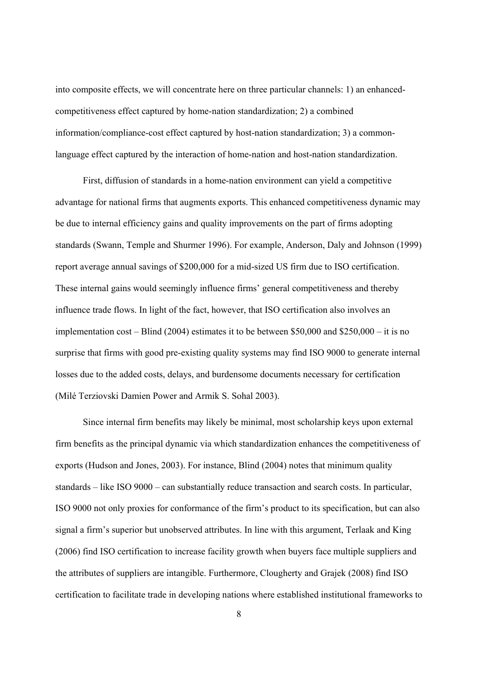into composite effects, we will concentrate here on three particular channels: 1) an enhancedcompetitiveness effect captured by home-nation standardization; 2) a combined information/compliance-cost effect captured by host-nation standardization; 3) a commonlanguage effect captured by the interaction of home-nation and host-nation standardization.

First, diffusion of standards in a home-nation environment can yield a competitive advantage for national firms that augments exports. This enhanced competitiveness dynamic may be due to internal efficiency gains and quality improvements on the part of firms adopting standards (Swann, Temple and Shurmer 1996). For example, Anderson, Daly and Johnson (1999) report average annual savings of \$200,000 for a mid-sized US firm due to ISO certification. These internal gains would seemingly influence firms' general competitiveness and thereby influence trade flows. In light of the fact, however, that ISO certification also involves an implementation cost – Blind (2004) estimates it to be between \$50,000 and \$250,000 – it is no surprise that firms with good pre-existing quality systems may find ISO 9000 to generate internal losses due to the added costs, delays, and burdensome documents necessary for certification (Milé Terziovski Damien Power and Armik S. Sohal 2003).

Since internal firm benefits may likely be minimal, most scholarship keys upon external firm benefits as the principal dynamic via which standardization enhances the competitiveness of exports (Hudson and Jones, 2003). For instance, Blind (2004) notes that minimum quality standards – like ISO 9000 – can substantially reduce transaction and search costs. In particular, ISO 9000 not only proxies for conformance of the firm's product to its specification, but can also signal a firm's superior but unobserved attributes. In line with this argument, Terlaak and King (2006) find ISO certification to increase facility growth when buyers face multiple suppliers and the attributes of suppliers are intangible. Furthermore, Clougherty and Grajek (2008) find ISO certification to facilitate trade in developing nations where established institutional frameworks to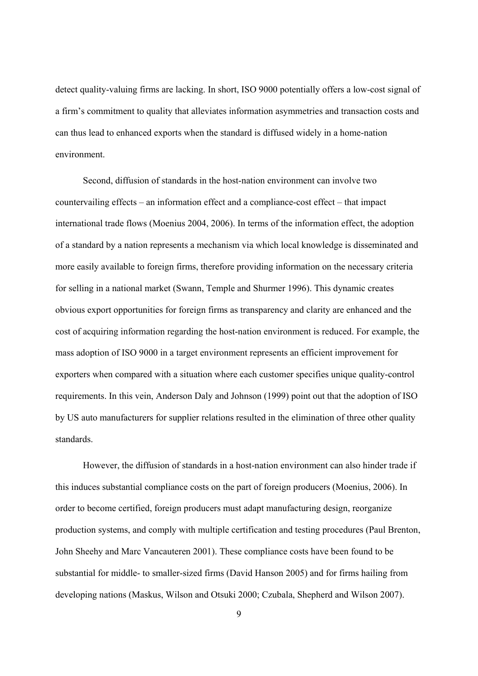detect quality-valuing firms are lacking. In short, ISO 9000 potentially offers a low-cost signal of a firm's commitment to quality that alleviates information asymmetries and transaction costs and can thus lead to enhanced exports when the standard is diffused widely in a home-nation environment.

Second, diffusion of standards in the host-nation environment can involve two countervailing effects – an information effect and a compliance-cost effect – that impact international trade flows (Moenius 2004, 2006). In terms of the information effect, the adoption of a standard by a nation represents a mechanism via which local knowledge is disseminated and more easily available to foreign firms, therefore providing information on the necessary criteria for selling in a national market (Swann, Temple and Shurmer 1996). This dynamic creates obvious export opportunities for foreign firms as transparency and clarity are enhanced and the cost of acquiring information regarding the host-nation environment is reduced. For example, the mass adoption of ISO 9000 in a target environment represents an efficient improvement for exporters when compared with a situation where each customer specifies unique quality-control requirements. In this vein, Anderson Daly and Johnson (1999) point out that the adoption of ISO by US auto manufacturers for supplier relations resulted in the elimination of three other quality standards.

However, the diffusion of standards in a host-nation environment can also hinder trade if this induces substantial compliance costs on the part of foreign producers (Moenius, 2006). In order to become certified, foreign producers must adapt manufacturing design, reorganize production systems, and comply with multiple certification and testing procedures (Paul Brenton, John Sheehy and Marc Vancauteren 2001). These compliance costs have been found to be substantial for middle- to smaller-sized firms (David Hanson 2005) and for firms hailing from developing nations (Maskus, Wilson and Otsuki 2000; Czubala, Shepherd and Wilson 2007).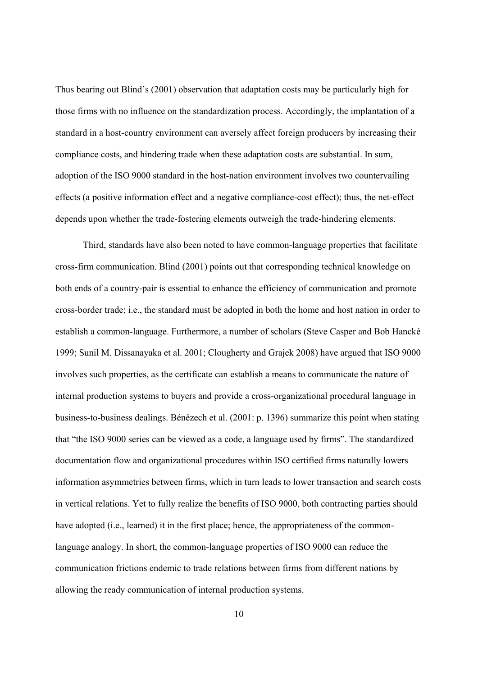Thus bearing out Blind's (2001) observation that adaptation costs may be particularly high for those firms with no influence on the standardization process. Accordingly, the implantation of a standard in a host-country environment can aversely affect foreign producers by increasing their compliance costs, and hindering trade when these adaptation costs are substantial. In sum, adoption of the ISO 9000 standard in the host-nation environment involves two countervailing effects (a positive information effect and a negative compliance-cost effect); thus, the net-effect depends upon whether the trade-fostering elements outweigh the trade-hindering elements.

Third, standards have also been noted to have common-language properties that facilitate cross-firm communication. Blind (2001) points out that corresponding technical knowledge on both ends of a country-pair is essential to enhance the efficiency of communication and promote cross-border trade; i.e., the standard must be adopted in both the home and host nation in order to establish a common-language. Furthermore, a number of scholars (Steve Casper and Bob Hancké 1999; Sunil M. Dissanayaka et al. 2001; Clougherty and Grajek 2008) have argued that ISO 9000 involves such properties, as the certificate can establish a means to communicate the nature of internal production systems to buyers and provide a cross-organizational procedural language in business-to-business dealings. Bénézech et al. (2001: p. 1396) summarize this point when stating that "the ISO 9000 series can be viewed as a code, a language used by firms". The standardized documentation flow and organizational procedures within ISO certified firms naturally lowers information asymmetries between firms, which in turn leads to lower transaction and search costs in vertical relations. Yet to fully realize the benefits of ISO 9000, both contracting parties should have adopted (i.e., learned) it in the first place; hence, the appropriateness of the commonlanguage analogy. In short, the common-language properties of ISO 9000 can reduce the communication frictions endemic to trade relations between firms from different nations by allowing the ready communication of internal production systems.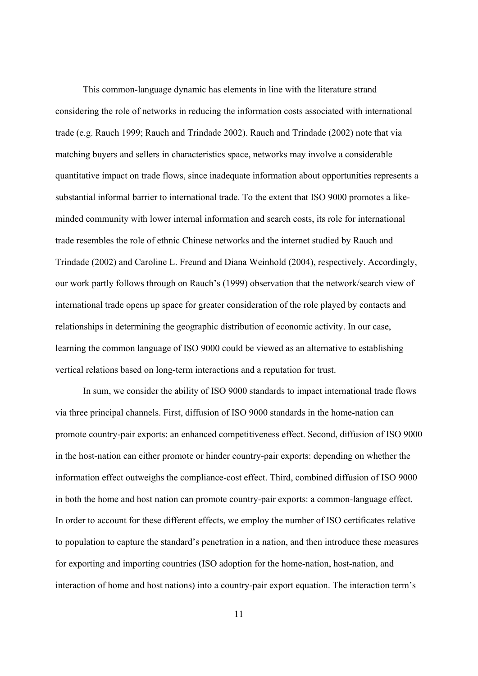This common-language dynamic has elements in line with the literature strand considering the role of networks in reducing the information costs associated with international trade (e.g. Rauch 1999; Rauch and Trindade 2002). Rauch and Trindade (2002) note that via matching buyers and sellers in characteristics space, networks may involve a considerable quantitative impact on trade flows, since inadequate information about opportunities represents a substantial informal barrier to international trade. To the extent that ISO 9000 promotes a likeminded community with lower internal information and search costs, its role for international trade resembles the role of ethnic Chinese networks and the internet studied by Rauch and Trindade (2002) and Caroline L. Freund and Diana Weinhold (2004), respectively. Accordingly, our work partly follows through on Rauch's (1999) observation that the network/search view of international trade opens up space for greater consideration of the role played by contacts and relationships in determining the geographic distribution of economic activity. In our case, learning the common language of ISO 9000 could be viewed as an alternative to establishing vertical relations based on long-term interactions and a reputation for trust.

In sum, we consider the ability of ISO 9000 standards to impact international trade flows via three principal channels. First, diffusion of ISO 9000 standards in the home-nation can promote country-pair exports: an enhanced competitiveness effect. Second, diffusion of ISO 9000 in the host-nation can either promote or hinder country-pair exports: depending on whether the information effect outweighs the compliance-cost effect. Third, combined diffusion of ISO 9000 in both the home and host nation can promote country-pair exports: a common-language effect. In order to account for these different effects, we employ the number of ISO certificates relative to population to capture the standard's penetration in a nation, and then introduce these measures for exporting and importing countries (ISO adoption for the home-nation, host-nation, and interaction of home and host nations) into a country-pair export equation. The interaction term's

11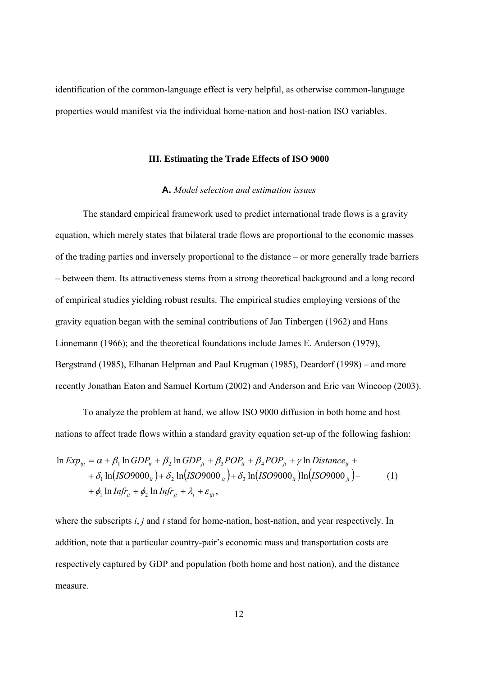identification of the common-language effect is very helpful, as otherwise common-language properties would manifest via the individual home-nation and host-nation ISO variables.

#### **III. Estimating the Trade Effects of ISO 9000**

## **A.** *Model selection and estimation issues*

The standard empirical framework used to predict international trade flows is a gravity equation, which merely states that bilateral trade flows are proportional to the economic masses of the trading parties and inversely proportional to the distance – or more generally trade barriers – between them. Its attractiveness stems from a strong theoretical background and a long record of empirical studies yielding robust results. The empirical studies employing versions of the gravity equation began with the seminal contributions of Jan Tinbergen (1962) and Hans Linnemann (1966); and the theoretical foundations include James E. Anderson (1979), Bergstrand (1985), Elhanan Helpman and Paul Krugman (1985), Deardorf (1998) – and more recently Jonathan Eaton and Samuel Kortum (2002) and Anderson and Eric van Wincoop (2003).

To analyze the problem at hand, we allow ISO 9000 diffusion in both home and host nations to affect trade flows within a standard gravity equation set-up of the following fashion:

$$
\ln Exp_{ijt} = \alpha + \beta_1 \ln GDP_{it} + \beta_2 \ln GDP_{jt} + \beta_3 POP_{it} + \beta_4 POP_{jt} + \gamma \ln Distance_{ij} ++ \delta_1 \ln (ISO9000_{it}) + \delta_2 \ln (ISO9000_{jt}) + \delta_3 \ln (ISO9000_{it}) \ln (ISO9000_{jt}) ++ \phi_1 \ln Infr_{it} + \phi_2 \ln Infr_{jt} + \lambda_t + \varepsilon_{ijt},
$$
 (1)

where the subscripts *i*, *j* and *t* stand for home-nation, host-nation, and year respectively. In addition, note that a particular country-pair's economic mass and transportation costs are respectively captured by GDP and population (both home and host nation), and the distance measure.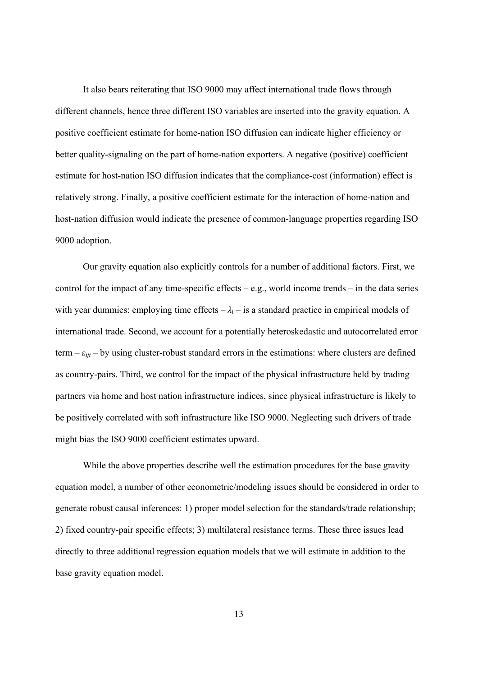It also bears reiterating that ISO 9000 may affect international trade flows through different channels, hence three different ISO variables are inserted into the gravity equation. A positive coefficient estimate for home-nation ISO diffusion can indicate higher efficiency or better quality-signaling on the part of home-nation exporters. A negative (positive) coefficient estimate for host-nation ISO diffusion indicates that the compliance-cost (information) effect is relatively strong. Finally, a positive coefficient estimate for the interaction of home-nation and host-nation diffusion would indicate the presence of common-language properties regarding ISO 9000 adoption.

 Our gravity equation also explicitly controls for a number of additional factors. First, we control for the impact of any time-specific effects – e.g., world income trends – in the data series with year dummies: employing time effects  $-\lambda_t$  – is a standard practice in empirical models of international trade. Second, we account for a potentially heteroskedastic and autocorrelated error term  $-\varepsilon_{ijt}$  – by using cluster-robust standard errors in the estimations: where clusters are defined as country-pairs. Third, we control for the impact of the physical infrastructure held by trading partners via home and host nation infrastructure indices, since physical infrastructure is likely to be positively correlated with soft infrastructure like ISO 9000. Neglecting such drivers of trade might bias the ISO 9000 coefficient estimates upward.

 While the above properties describe well the estimation procedures for the base gravity equation model, a number of other econometric/modeling issues should be considered in order to generate robust causal inferences: 1) proper model selection for the standards/trade relationship; 2) fixed country-pair specific effects; 3) multilateral resistance terms. These three issues lead directly to three additional regression equation models that we will estimate in addition to the base gravity equation model.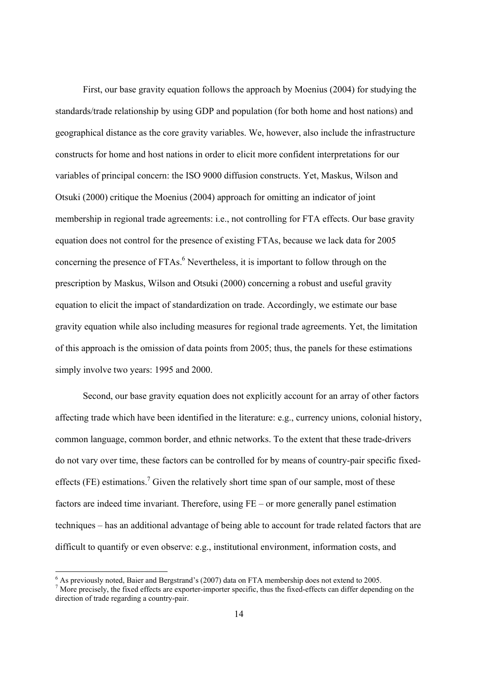First, our base gravity equation follows the approach by Moenius (2004) for studying the standards/trade relationship by using GDP and population (for both home and host nations) and geographical distance as the core gravity variables. We, however, also include the infrastructure constructs for home and host nations in order to elicit more confident interpretations for our variables of principal concern: the ISO 9000 diffusion constructs. Yet, Maskus, Wilson and Otsuki (2000) critique the Moenius (2004) approach for omitting an indicator of joint membership in regional trade agreements: i.e., not controlling for FTA effects. Our base gravity equation does not control for the presence of existing FTAs, because we lack data for 2005 concerning the presence of  $FTAs.<sup>6</sup>$  Nevertheless, it is important to follow through on the prescription by Maskus, Wilson and Otsuki (2000) concerning a robust and useful gravity equation to elicit the impact of standardization on trade. Accordingly, we estimate our base gravity equation while also including measures for regional trade agreements. Yet, the limitation of this approach is the omission of data points from 2005; thus, the panels for these estimations simply involve two years: 1995 and 2000.

Second, our base gravity equation does not explicitly account for an array of other factors affecting trade which have been identified in the literature: e.g., currency unions, colonial history, common language, common border, and ethnic networks. To the extent that these trade-drivers do not vary over time, these factors can be controlled for by means of country-pair specific fixedeffects (FE) estimations.<sup>7</sup> Given the relatively short time span of our sample, most of these factors are indeed time invariant. Therefore, using FE – or more generally panel estimation techniques – has an additional advantage of being able to account for trade related factors that are difficult to quantify or even observe: e.g., institutional environment, information costs, and

-

 $<sup>6</sup>$  As previously noted, Baier and Bergstrand's (2007) data on FTA membership does not extend to 2005.</sup>

<sup>&</sup>lt;sup>7</sup> More precisely, the fixed effects are exporter-importer specific, thus the fixed-effects can differ depending on the direction of trade regarding a country-pair.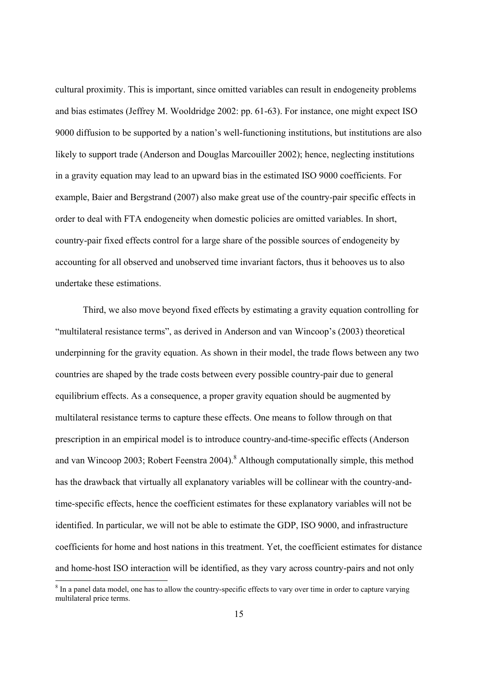cultural proximity. This is important, since omitted variables can result in endogeneity problems and bias estimates (Jeffrey M. Wooldridge 2002: pp. 61-63). For instance, one might expect ISO 9000 diffusion to be supported by a nation's well-functioning institutions, but institutions are also likely to support trade (Anderson and Douglas Marcouiller 2002); hence, neglecting institutions in a gravity equation may lead to an upward bias in the estimated ISO 9000 coefficients. For example, Baier and Bergstrand (2007) also make great use of the country-pair specific effects in order to deal with FTA endogeneity when domestic policies are omitted variables. In short, country-pair fixed effects control for a large share of the possible sources of endogeneity by accounting for all observed and unobserved time invariant factors, thus it behooves us to also undertake these estimations.

Third, we also move beyond fixed effects by estimating a gravity equation controlling for "multilateral resistance terms", as derived in Anderson and van Wincoop's (2003) theoretical underpinning for the gravity equation. As shown in their model, the trade flows between any two countries are shaped by the trade costs between every possible country-pair due to general equilibrium effects. As a consequence, a proper gravity equation should be augmented by multilateral resistance terms to capture these effects. One means to follow through on that prescription in an empirical model is to introduce country-and-time-specific effects (Anderson and van Wincoop 2003; Robert Feenstra 2004). <sup>8</sup> Although computationally simple, this method has the drawback that virtually all explanatory variables will be collinear with the country-andtime-specific effects, hence the coefficient estimates for these explanatory variables will not be identified. In particular, we will not be able to estimate the GDP, ISO 9000, and infrastructure coefficients for home and host nations in this treatment. Yet, the coefficient estimates for distance and home-host ISO interaction will be identified, as they vary across country-pairs and not only

-

<sup>&</sup>lt;sup>8</sup> In a panel data model, one has to allow the country-specific effects to vary over time in order to capture varying multilateral price terms.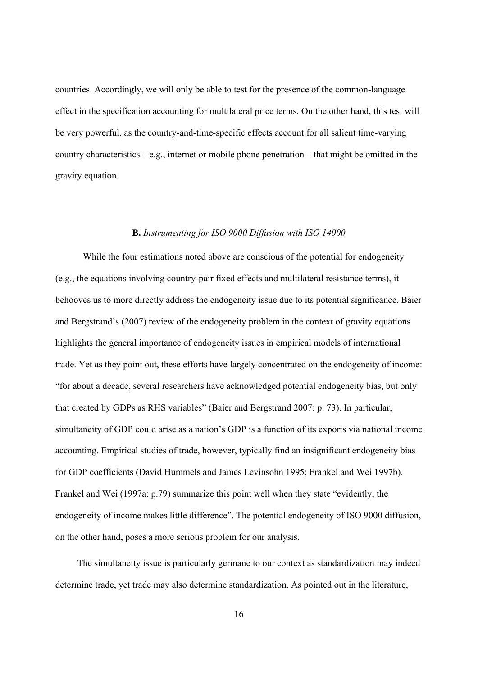countries. Accordingly, we will only be able to test for the presence of the common-language effect in the specification accounting for multilateral price terms. On the other hand, this test will be very powerful, as the country-and-time-specific effects account for all salient time-varying country characteristics – e.g., internet or mobile phone penetration – that might be omitted in the gravity equation.

#### **B.** *Instrumenting for ISO 9000 Diffusion with ISO 14000*

While the four estimations noted above are conscious of the potential for endogeneity (e.g., the equations involving country-pair fixed effects and multilateral resistance terms), it behooves us to more directly address the endogeneity issue due to its potential significance. Baier and Bergstrand's (2007) review of the endogeneity problem in the context of gravity equations highlights the general importance of endogeneity issues in empirical models of international trade. Yet as they point out, these efforts have largely concentrated on the endogeneity of income: "for about a decade, several researchers have acknowledged potential endogeneity bias, but only that created by GDPs as RHS variables" (Baier and Bergstrand 2007: p. 73). In particular, simultaneity of GDP could arise as a nation's GDP is a function of its exports via national income accounting. Empirical studies of trade, however, typically find an insignificant endogeneity bias for GDP coefficients (David Hummels and James Levinsohn 1995; Frankel and Wei 1997b). Frankel and Wei (1997a: p.79) summarize this point well when they state "evidently, the endogeneity of income makes little difference". The potential endogeneity of ISO 9000 diffusion, on the other hand, poses a more serious problem for our analysis.

The simultaneity issue is particularly germane to our context as standardization may indeed determine trade, yet trade may also determine standardization. As pointed out in the literature,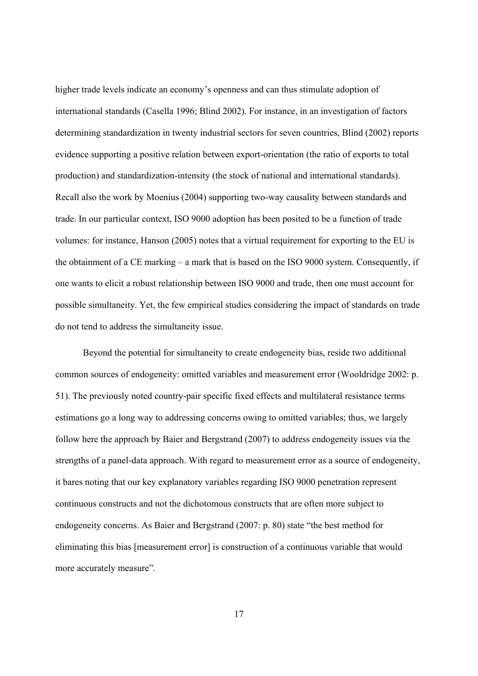higher trade levels indicate an economy's openness and can thus stimulate adoption of international standards (Casella 1996; Blind 2002). For instance, in an investigation of factors determining standardization in twenty industrial sectors for seven countries, Blind (2002) reports evidence supporting a positive relation between export-orientation (the ratio of exports to total production) and standardization-intensity (the stock of national and international standards). Recall also the work by Moenius (2004) supporting two-way causality between standards and trade. In our particular context, ISO 9000 adoption has been posited to be a function of trade volumes: for instance, Hanson (2005) notes that a virtual requirement for exporting to the EU is the obtainment of a CE marking – a mark that is based on the ISO 9000 system. Consequently, if one wants to elicit a robust relationship between ISO 9000 and trade, then one must account for possible simultaneity. Yet, the few empirical studies considering the impact of standards on trade do not tend to address the simultaneity issue.

Beyond the potential for simultaneity to create endogeneity bias, reside two additional common sources of endogeneity: omitted variables and measurement error (Wooldridge 2002: p. 51). The previously noted country-pair specific fixed effects and multilateral resistance terms estimations go a long way to addressing concerns owing to omitted variables; thus, we largely follow here the approach by Baier and Bergstrand (2007) to address endogeneity issues via the strengths of a panel-data approach. With regard to measurement error as a source of endogeneity, it bares noting that our key explanatory variables regarding ISO 9000 penetration represent continuous constructs and not the dichotomous constructs that are often more subject to endogeneity concerns. As Baier and Bergstrand (2007: p. 80) state "the best method for eliminating this bias [measurement error] is construction of a continuous variable that would more accurately measure".

17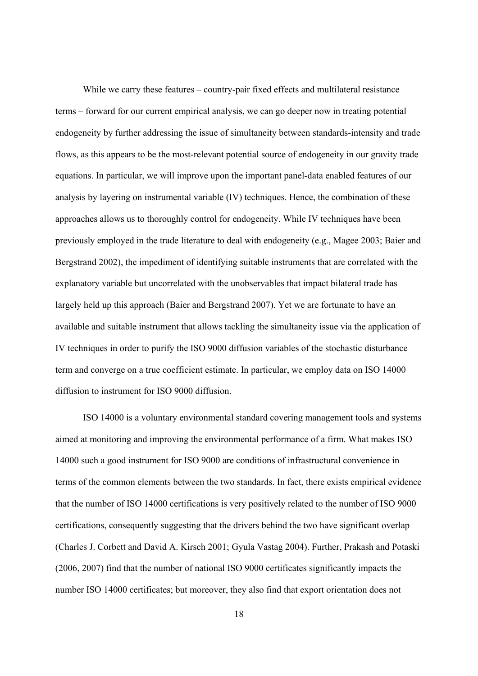While we carry these features – country-pair fixed effects and multilateral resistance terms – forward for our current empirical analysis, we can go deeper now in treating potential endogeneity by further addressing the issue of simultaneity between standards-intensity and trade flows, as this appears to be the most-relevant potential source of endogeneity in our gravity trade equations. In particular, we will improve upon the important panel-data enabled features of our analysis by layering on instrumental variable (IV) techniques. Hence, the combination of these approaches allows us to thoroughly control for endogeneity. While IV techniques have been previously employed in the trade literature to deal with endogeneity (e.g., Magee 2003; Baier and Bergstrand 2002), the impediment of identifying suitable instruments that are correlated with the explanatory variable but uncorrelated with the unobservables that impact bilateral trade has largely held up this approach (Baier and Bergstrand 2007). Yet we are fortunate to have an available and suitable instrument that allows tackling the simultaneity issue via the application of IV techniques in order to purify the ISO 9000 diffusion variables of the stochastic disturbance term and converge on a true coefficient estimate. In particular, we employ data on ISO 14000 diffusion to instrument for ISO 9000 diffusion.

ISO 14000 is a voluntary environmental standard covering management tools and systems aimed at monitoring and improving the environmental performance of a firm. What makes ISO 14000 such a good instrument for ISO 9000 are conditions of infrastructural convenience in terms of the common elements between the two standards. In fact, there exists empirical evidence that the number of ISO 14000 certifications is very positively related to the number of ISO 9000 certifications, consequently suggesting that the drivers behind the two have significant overlap (Charles J. Corbett and David A. Kirsch 2001; Gyula Vastag 2004). Further, Prakash and Potaski (2006, 2007) find that the number of national ISO 9000 certificates significantly impacts the number ISO 14000 certificates; but moreover, they also find that export orientation does not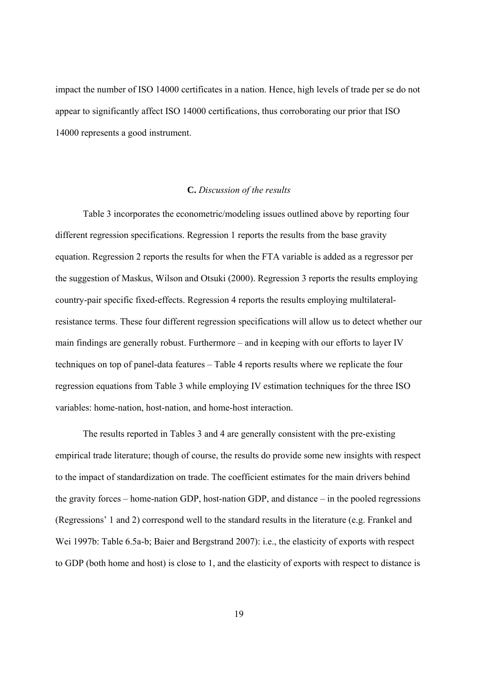impact the number of ISO 14000 certificates in a nation. Hence, high levels of trade per se do not appear to significantly affect ISO 14000 certifications, thus corroborating our prior that ISO 14000 represents a good instrument.

## **C.** *Discussion of the results*

Table 3 incorporates the econometric/modeling issues outlined above by reporting four different regression specifications. Regression 1 reports the results from the base gravity equation. Regression 2 reports the results for when the FTA variable is added as a regressor per the suggestion of Maskus, Wilson and Otsuki (2000). Regression 3 reports the results employing country-pair specific fixed-effects. Regression 4 reports the results employing multilateralresistance terms. These four different regression specifications will allow us to detect whether our main findings are generally robust. Furthermore – and in keeping with our efforts to layer IV techniques on top of panel-data features – Table 4 reports results where we replicate the four regression equations from Table 3 while employing IV estimation techniques for the three ISO variables: home-nation, host-nation, and home-host interaction.

 The results reported in Tables 3 and 4 are generally consistent with the pre-existing empirical trade literature; though of course, the results do provide some new insights with respect to the impact of standardization on trade. The coefficient estimates for the main drivers behind the gravity forces – home-nation GDP, host-nation GDP, and distance – in the pooled regressions (Regressions' 1 and 2) correspond well to the standard results in the literature (e.g. Frankel and Wei 1997b: Table 6.5a-b; Baier and Bergstrand 2007): i.e., the elasticity of exports with respect to GDP (both home and host) is close to 1, and the elasticity of exports with respect to distance is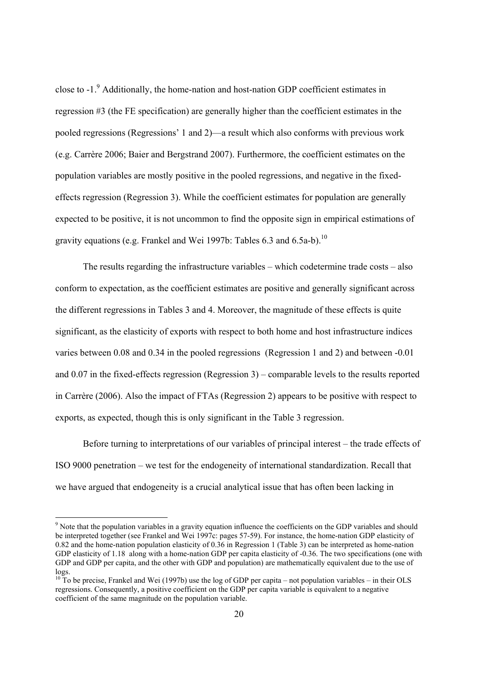close to -1.<sup>9</sup> Additionally, the home-nation and host-nation GDP coefficient estimates in regression #3 (the FE specification) are generally higher than the coefficient estimates in the pooled regressions (Regressions' 1 and 2)—a result which also conforms with previous work (e.g. Carrère 2006; Baier and Bergstrand 2007). Furthermore, the coefficient estimates on the population variables are mostly positive in the pooled regressions, and negative in the fixedeffects regression (Regression 3). While the coefficient estimates for population are generally expected to be positive, it is not uncommon to find the opposite sign in empirical estimations of gravity equations (e.g. Frankel and Wei 1997b: Tables 6.3 and 6.5a-b).<sup>10</sup>

 The results regarding the infrastructure variables – which codetermine trade costs – also conform to expectation, as the coefficient estimates are positive and generally significant across the different regressions in Tables 3 and 4. Moreover, the magnitude of these effects is quite significant, as the elasticity of exports with respect to both home and host infrastructure indices varies between 0.08 and 0.34 in the pooled regressions (Regression 1 and 2) and between -0.01 and 0.07 in the fixed-effects regression (Regression 3) – comparable levels to the results reported in Carrère (2006). Also the impact of FTAs (Regression 2) appears to be positive with respect to exports, as expected, though this is only significant in the Table 3 regression.

 Before turning to interpretations of our variables of principal interest – the trade effects of ISO 9000 penetration – we test for the endogeneity of international standardization. Recall that we have argued that endogeneity is a crucial analytical issue that has often been lacking in

-

<sup>&</sup>lt;sup>9</sup> Note that the population variables in a gravity equation influence the coefficients on the GDP variables and should be interpreted together (see Frankel and Wei 1997c: pages 57-59). For instance, the home-nation GDP elasticity of 0.82 and the home-nation population elasticity of 0.36 in Regression 1 (Table 3) can be interpreted as home-nation GDP elasticity of 1.18 along with a home-nation GDP per capita elasticity of -0.36. The two specifications (one with GDP and GDP per capita, and the other with GDP and population) are mathematically equivalent due to the use of logs.

 $10^{10}$  To be precise, Frankel and Wei (1997b) use the log of GDP per capita – not population variables – in their OLS regressions. Consequently, a positive coefficient on the GDP per capita variable is equivalent to a negative coefficient of the same magnitude on the population variable.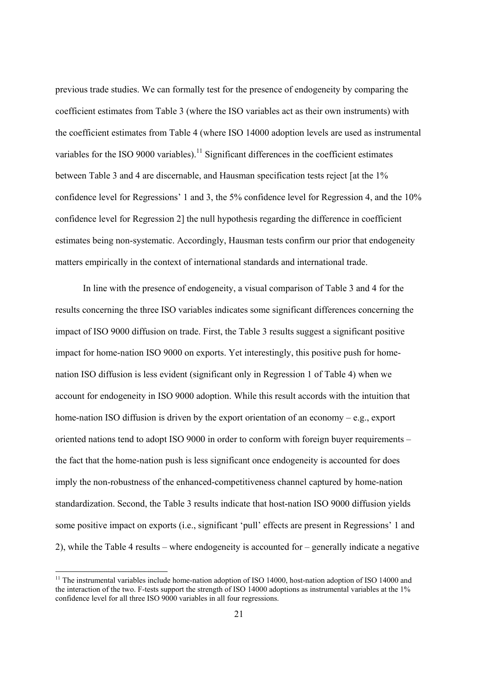previous trade studies. We can formally test for the presence of endogeneity by comparing the coefficient estimates from Table 3 (where the ISO variables act as their own instruments) with the coefficient estimates from Table 4 (where ISO 14000 adoption levels are used as instrumental variables for the ISO 9000 variables).<sup>11</sup> Significant differences in the coefficient estimates between Table 3 and 4 are discernable, and Hausman specification tests reject [at the 1% confidence level for Regressions' 1 and 3, the 5% confidence level for Regression 4, and the 10% confidence level for Regression 2] the null hypothesis regarding the difference in coefficient estimates being non-systematic. Accordingly, Hausman tests confirm our prior that endogeneity matters empirically in the context of international standards and international trade.

 In line with the presence of endogeneity, a visual comparison of Table 3 and 4 for the results concerning the three ISO variables indicates some significant differences concerning the impact of ISO 9000 diffusion on trade. First, the Table 3 results suggest a significant positive impact for home-nation ISO 9000 on exports. Yet interestingly, this positive push for homenation ISO diffusion is less evident (significant only in Regression 1 of Table 4) when we account for endogeneity in ISO 9000 adoption. While this result accords with the intuition that home-nation ISO diffusion is driven by the export orientation of an economy – e.g., export oriented nations tend to adopt ISO 9000 in order to conform with foreign buyer requirements – the fact that the home-nation push is less significant once endogeneity is accounted for does imply the non-robustness of the enhanced-competitiveness channel captured by home-nation standardization. Second, the Table 3 results indicate that host-nation ISO 9000 diffusion yields some positive impact on exports (i.e., significant 'pull' effects are present in Regressions' 1 and 2), while the Table 4 results – where endogeneity is accounted for – generally indicate a negative

-

<sup>&</sup>lt;sup>11</sup> The instrumental variables include home-nation adoption of ISO 14000, host-nation adoption of ISO 14000 and the interaction of the two. F-tests support the strength of ISO 14000 adoptions as instrumental variables at the 1% confidence level for all three ISO 9000 variables in all four regressions.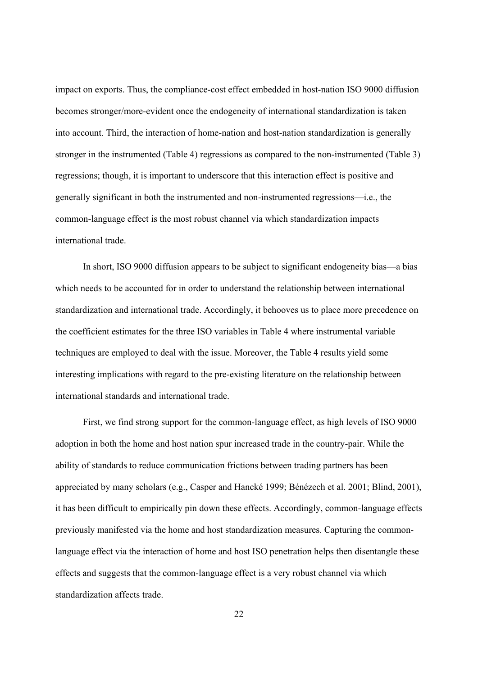impact on exports. Thus, the compliance-cost effect embedded in host-nation ISO 9000 diffusion becomes stronger/more-evident once the endogeneity of international standardization is taken into account. Third, the interaction of home-nation and host-nation standardization is generally stronger in the instrumented (Table 4) regressions as compared to the non-instrumented (Table 3) regressions; though, it is important to underscore that this interaction effect is positive and generally significant in both the instrumented and non-instrumented regressions—i.e., the common-language effect is the most robust channel via which standardization impacts international trade.

In short, ISO 9000 diffusion appears to be subject to significant endogeneity bias—a bias which needs to be accounted for in order to understand the relationship between international standardization and international trade. Accordingly, it behooves us to place more precedence on the coefficient estimates for the three ISO variables in Table 4 where instrumental variable techniques are employed to deal with the issue. Moreover, the Table 4 results yield some interesting implications with regard to the pre-existing literature on the relationship between international standards and international trade.

First, we find strong support for the common-language effect, as high levels of ISO 9000 adoption in both the home and host nation spur increased trade in the country-pair. While the ability of standards to reduce communication frictions between trading partners has been appreciated by many scholars (e.g., Casper and Hancké 1999; Bénézech et al. 2001; Blind, 2001), it has been difficult to empirically pin down these effects. Accordingly, common-language effects previously manifested via the home and host standardization measures. Capturing the commonlanguage effect via the interaction of home and host ISO penetration helps then disentangle these effects and suggests that the common-language effect is a very robust channel via which standardization affects trade.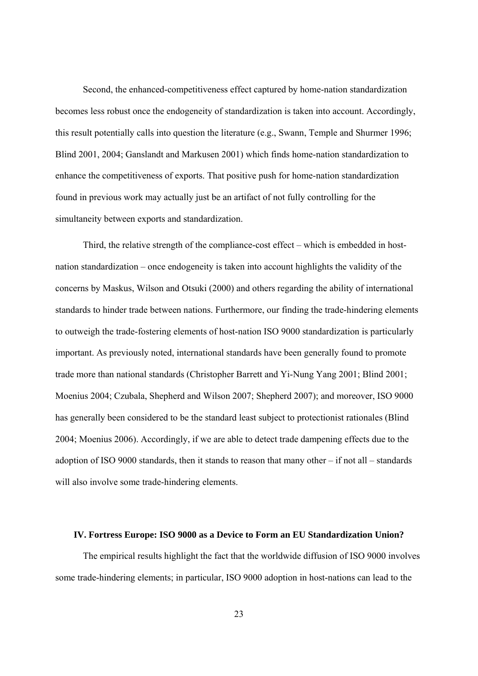Second, the enhanced-competitiveness effect captured by home-nation standardization becomes less robust once the endogeneity of standardization is taken into account. Accordingly, this result potentially calls into question the literature (e.g., Swann, Temple and Shurmer 1996; Blind 2001, 2004; Ganslandt and Markusen 2001) which finds home-nation standardization to enhance the competitiveness of exports. That positive push for home-nation standardization found in previous work may actually just be an artifact of not fully controlling for the simultaneity between exports and standardization.

Third, the relative strength of the compliance-cost effect – which is embedded in hostnation standardization – once endogeneity is taken into account highlights the validity of the concerns by Maskus, Wilson and Otsuki (2000) and others regarding the ability of international standards to hinder trade between nations. Furthermore, our finding the trade-hindering elements to outweigh the trade-fostering elements of host-nation ISO 9000 standardization is particularly important. As previously noted, international standards have been generally found to promote trade more than national standards (Christopher Barrett and Yi-Nung Yang 2001; Blind 2001; Moenius 2004; Czubala, Shepherd and Wilson 2007; Shepherd 2007); and moreover, ISO 9000 has generally been considered to be the standard least subject to protectionist rationales (Blind 2004; Moenius 2006). Accordingly, if we are able to detect trade dampening effects due to the adoption of ISO 9000 standards, then it stands to reason that many other – if not all – standards will also involve some trade-hindering elements.

### **IV. Fortress Europe: ISO 9000 as a Device to Form an EU Standardization Union?**

The empirical results highlight the fact that the worldwide diffusion of ISO 9000 involves some trade-hindering elements; in particular, ISO 9000 adoption in host-nations can lead to the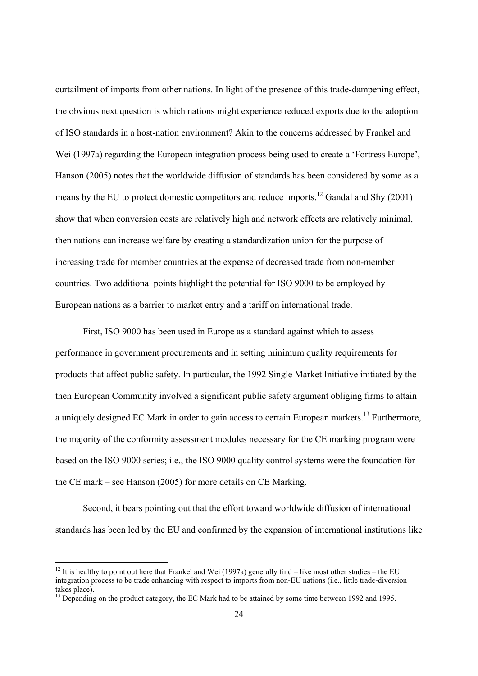curtailment of imports from other nations. In light of the presence of this trade-dampening effect, the obvious next question is which nations might experience reduced exports due to the adoption of ISO standards in a host-nation environment? Akin to the concerns addressed by Frankel and Wei (1997a) regarding the European integration process being used to create a 'Fortress Europe', Hanson (2005) notes that the worldwide diffusion of standards has been considered by some as a means by the EU to protect domestic competitors and reduce imports.<sup>12</sup> Gandal and Shy (2001) show that when conversion costs are relatively high and network effects are relatively minimal, then nations can increase welfare by creating a standardization union for the purpose of increasing trade for member countries at the expense of decreased trade from non-member countries. Two additional points highlight the potential for ISO 9000 to be employed by European nations as a barrier to market entry and a tariff on international trade.

First, ISO 9000 has been used in Europe as a standard against which to assess performance in government procurements and in setting minimum quality requirements for products that affect public safety. In particular, the 1992 Single Market Initiative initiated by the then European Community involved a significant public safety argument obliging firms to attain a uniquely designed EC Mark in order to gain access to certain European markets.<sup>13</sup> Furthermore, the majority of the conformity assessment modules necessary for the CE marking program were based on the ISO 9000 series; i.e., the ISO 9000 quality control systems were the foundation for the CE mark – see Hanson (2005) for more details on CE Marking.

Second, it bears pointing out that the effort toward worldwide diffusion of international standards has been led by the EU and confirmed by the expansion of international institutions like

-

<sup>&</sup>lt;sup>12</sup> It is healthy to point out here that Frankel and Wei (1997a) generally find – like most other studies – the EU integration process to be trade enhancing with respect to imports from non-EU nations (i.e., little trade-diversion takes place).

<sup>&</sup>lt;sup>13</sup> Depending on the product category, the EC Mark had to be attained by some time between 1992 and 1995.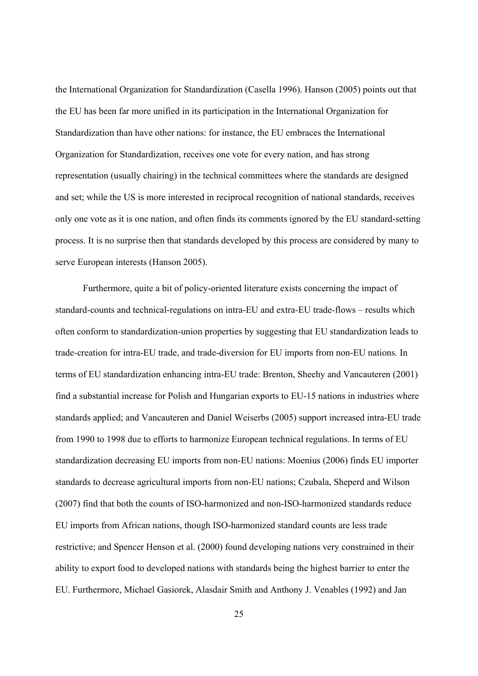the International Organization for Standardization (Casella 1996). Hanson (2005) points out that the EU has been far more unified in its participation in the International Organization for Standardization than have other nations: for instance, the EU embraces the International Organization for Standardization, receives one vote for every nation, and has strong representation (usually chairing) in the technical committees where the standards are designed and set; while the US is more interested in reciprocal recognition of national standards, receives only one vote as it is one nation, and often finds its comments ignored by the EU standard-setting process. It is no surprise then that standards developed by this process are considered by many to serve European interests (Hanson 2005).

Furthermore, quite a bit of policy-oriented literature exists concerning the impact of standard-counts and technical-regulations on intra-EU and extra-EU trade-flows – results which often conform to standardization-union properties by suggesting that EU standardization leads to trade-creation for intra-EU trade, and trade-diversion for EU imports from non-EU nations. In terms of EU standardization enhancing intra-EU trade: Brenton, Sheehy and Vancauteren (2001) find a substantial increase for Polish and Hungarian exports to EU-15 nations in industries where standards applied; and Vancauteren and Daniel Weiserbs (2005) support increased intra-EU trade from 1990 to 1998 due to efforts to harmonize European technical regulations. In terms of EU standardization decreasing EU imports from non-EU nations: Moenius (2006) finds EU importer standards to decrease agricultural imports from non-EU nations; Czubala, Sheperd and Wilson (2007) find that both the counts of ISO-harmonized and non-ISO-harmonized standards reduce EU imports from African nations, though ISO-harmonized standard counts are less trade restrictive; and Spencer Henson et al. (2000) found developing nations very constrained in their ability to export food to developed nations with standards being the highest barrier to enter the EU. Furthermore, Michael Gasiorek, Alasdair Smith and Anthony J. Venables (1992) and Jan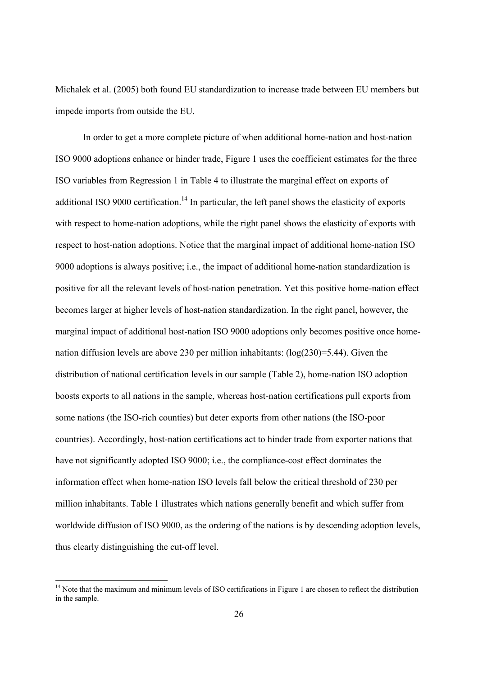Michalek et al. (2005) both found EU standardization to increase trade between EU members but impede imports from outside the EU.

In order to get a more complete picture of when additional home-nation and host-nation ISO 9000 adoptions enhance or hinder trade, Figure 1 uses the coefficient estimates for the three ISO variables from Regression 1 in Table 4 to illustrate the marginal effect on exports of additional ISO 9000 certification.<sup>14</sup> In particular, the left panel shows the elasticity of exports with respect to home-nation adoptions, while the right panel shows the elasticity of exports with respect to host-nation adoptions. Notice that the marginal impact of additional home-nation ISO 9000 adoptions is always positive; i.e., the impact of additional home-nation standardization is positive for all the relevant levels of host-nation penetration. Yet this positive home-nation effect becomes larger at higher levels of host-nation standardization. In the right panel, however, the marginal impact of additional host-nation ISO 9000 adoptions only becomes positive once homenation diffusion levels are above 230 per million inhabitants: (log(230)=5.44). Given the distribution of national certification levels in our sample (Table 2), home-nation ISO adoption boosts exports to all nations in the sample, whereas host-nation certifications pull exports from some nations (the ISO-rich counties) but deter exports from other nations (the ISO-poor countries). Accordingly, host-nation certifications act to hinder trade from exporter nations that have not significantly adopted ISO 9000; i.e., the compliance-cost effect dominates the information effect when home-nation ISO levels fall below the critical threshold of 230 per million inhabitants. Table 1 illustrates which nations generally benefit and which suffer from worldwide diffusion of ISO 9000, as the ordering of the nations is by descending adoption levels, thus clearly distinguishing the cut-off level.

-

<sup>&</sup>lt;sup>14</sup> Note that the maximum and minimum levels of ISO certifications in Figure 1 are chosen to reflect the distribution in the sample.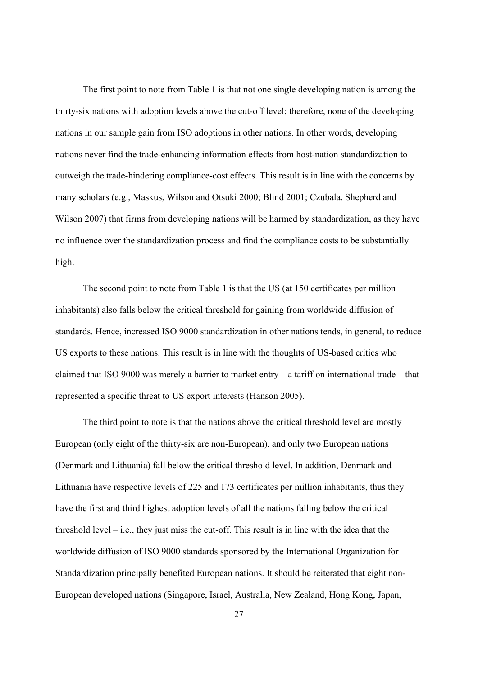The first point to note from Table 1 is that not one single developing nation is among the thirty-six nations with adoption levels above the cut-off level; therefore, none of the developing nations in our sample gain from ISO adoptions in other nations. In other words, developing nations never find the trade-enhancing information effects from host-nation standardization to outweigh the trade-hindering compliance-cost effects. This result is in line with the concerns by many scholars (e.g., Maskus, Wilson and Otsuki 2000; Blind 2001; Czubala, Shepherd and Wilson 2007) that firms from developing nations will be harmed by standardization, as they have no influence over the standardization process and find the compliance costs to be substantially high.

The second point to note from Table 1 is that the US (at 150 certificates per million inhabitants) also falls below the critical threshold for gaining from worldwide diffusion of standards. Hence, increased ISO 9000 standardization in other nations tends, in general, to reduce US exports to these nations. This result is in line with the thoughts of US-based critics who claimed that ISO 9000 was merely a barrier to market entry – a tariff on international trade – that represented a specific threat to US export interests (Hanson 2005).

The third point to note is that the nations above the critical threshold level are mostly European (only eight of the thirty-six are non-European), and only two European nations (Denmark and Lithuania) fall below the critical threshold level. In addition, Denmark and Lithuania have respective levels of 225 and 173 certificates per million inhabitants, thus they have the first and third highest adoption levels of all the nations falling below the critical threshold level  $-$  i.e., they just miss the cut-off. This result is in line with the idea that the worldwide diffusion of ISO 9000 standards sponsored by the International Organization for Standardization principally benefited European nations. It should be reiterated that eight non-European developed nations (Singapore, Israel, Australia, New Zealand, Hong Kong, Japan,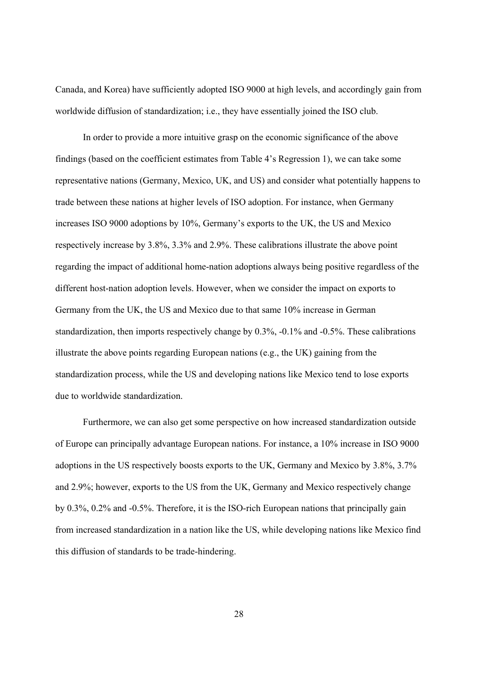Canada, and Korea) have sufficiently adopted ISO 9000 at high levels, and accordingly gain from worldwide diffusion of standardization; i.e., they have essentially joined the ISO club.

In order to provide a more intuitive grasp on the economic significance of the above findings (based on the coefficient estimates from Table 4's Regression 1), we can take some representative nations (Germany, Mexico, UK, and US) and consider what potentially happens to trade between these nations at higher levels of ISO adoption. For instance, when Germany increases ISO 9000 adoptions by 10%, Germany's exports to the UK, the US and Mexico respectively increase by 3.8%, 3.3% and 2.9%. These calibrations illustrate the above point regarding the impact of additional home-nation adoptions always being positive regardless of the different host-nation adoption levels. However, when we consider the impact on exports to Germany from the UK, the US and Mexico due to that same 10% increase in German standardization, then imports respectively change by 0.3%, -0.1% and -0.5%. These calibrations illustrate the above points regarding European nations (e.g., the UK) gaining from the standardization process, while the US and developing nations like Mexico tend to lose exports due to worldwide standardization.

Furthermore, we can also get some perspective on how increased standardization outside of Europe can principally advantage European nations. For instance, a 10% increase in ISO 9000 adoptions in the US respectively boosts exports to the UK, Germany and Mexico by 3.8%, 3.7% and 2.9%; however, exports to the US from the UK, Germany and Mexico respectively change by 0.3%, 0.2% and -0.5%. Therefore, it is the ISO-rich European nations that principally gain from increased standardization in a nation like the US, while developing nations like Mexico find this diffusion of standards to be trade-hindering.

28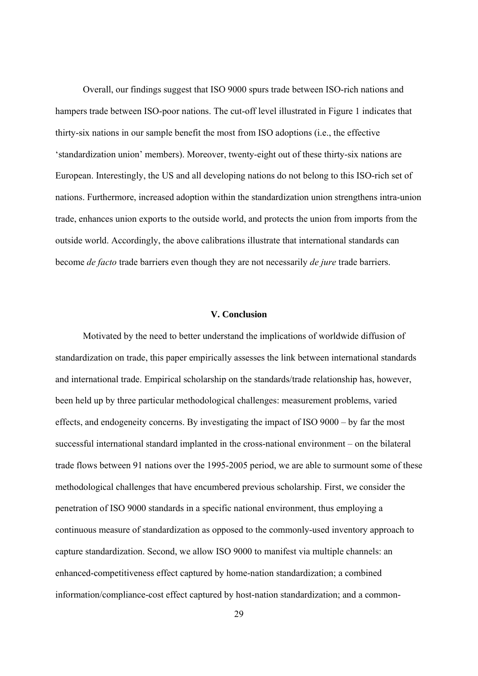Overall, our findings suggest that ISO 9000 spurs trade between ISO-rich nations and hampers trade between ISO-poor nations. The cut-off level illustrated in Figure 1 indicates that thirty-six nations in our sample benefit the most from ISO adoptions (i.e., the effective 'standardization union' members). Moreover, twenty-eight out of these thirty-six nations are European. Interestingly, the US and all developing nations do not belong to this ISO-rich set of nations. Furthermore, increased adoption within the standardization union strengthens intra-union trade, enhances union exports to the outside world, and protects the union from imports from the outside world. Accordingly, the above calibrations illustrate that international standards can become *de facto* trade barriers even though they are not necessarily *de jure* trade barriers.

## **V. Conclusion**

Motivated by the need to better understand the implications of worldwide diffusion of standardization on trade, this paper empirically assesses the link between international standards and international trade. Empirical scholarship on the standards/trade relationship has, however, been held up by three particular methodological challenges: measurement problems, varied effects, and endogeneity concerns. By investigating the impact of ISO 9000 – by far the most successful international standard implanted in the cross-national environment – on the bilateral trade flows between 91 nations over the 1995-2005 period, we are able to surmount some of these methodological challenges that have encumbered previous scholarship. First, we consider the penetration of ISO 9000 standards in a specific national environment, thus employing a continuous measure of standardization as opposed to the commonly-used inventory approach to capture standardization. Second, we allow ISO 9000 to manifest via multiple channels: an enhanced-competitiveness effect captured by home-nation standardization; a combined information/compliance-cost effect captured by host-nation standardization; and a common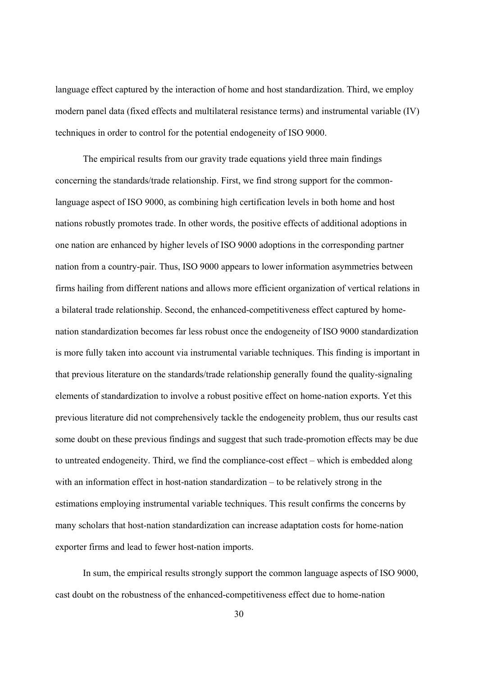language effect captured by the interaction of home and host standardization. Third, we employ modern panel data (fixed effects and multilateral resistance terms) and instrumental variable (IV) techniques in order to control for the potential endogeneity of ISO 9000.

The empirical results from our gravity trade equations yield three main findings concerning the standards/trade relationship. First, we find strong support for the commonlanguage aspect of ISO 9000, as combining high certification levels in both home and host nations robustly promotes trade. In other words, the positive effects of additional adoptions in one nation are enhanced by higher levels of ISO 9000 adoptions in the corresponding partner nation from a country-pair. Thus, ISO 9000 appears to lower information asymmetries between firms hailing from different nations and allows more efficient organization of vertical relations in a bilateral trade relationship. Second, the enhanced-competitiveness effect captured by homenation standardization becomes far less robust once the endogeneity of ISO 9000 standardization is more fully taken into account via instrumental variable techniques. This finding is important in that previous literature on the standards/trade relationship generally found the quality-signaling elements of standardization to involve a robust positive effect on home-nation exports. Yet this previous literature did not comprehensively tackle the endogeneity problem, thus our results cast some doubt on these previous findings and suggest that such trade-promotion effects may be due to untreated endogeneity. Third, we find the compliance-cost effect – which is embedded along with an information effect in host-nation standardization – to be relatively strong in the estimations employing instrumental variable techniques. This result confirms the concerns by many scholars that host-nation standardization can increase adaptation costs for home-nation exporter firms and lead to fewer host-nation imports.

In sum, the empirical results strongly support the common language aspects of ISO 9000, cast doubt on the robustness of the enhanced-competitiveness effect due to home-nation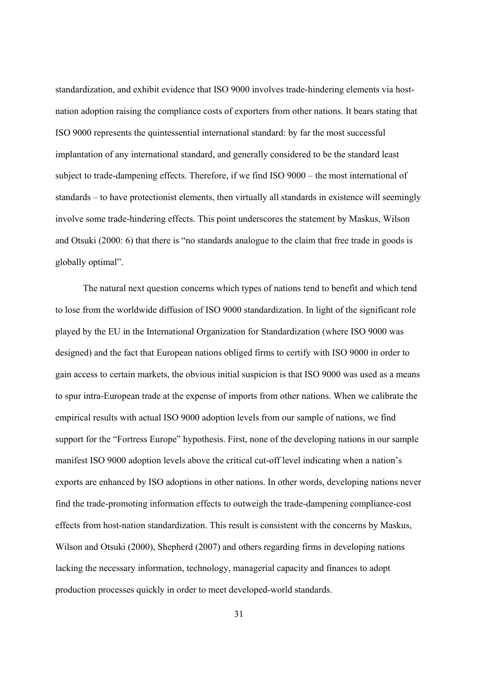standardization, and exhibit evidence that ISO 9000 involves trade-hindering elements via hostnation adoption raising the compliance costs of exporters from other nations. It bears stating that ISO 9000 represents the quintessential international standard: by far the most successful implantation of any international standard, and generally considered to be the standard least subject to trade-dampening effects. Therefore, if we find ISO 9000 – the most international of standards – to have protectionist elements, then virtually all standards in existence will seemingly involve some trade-hindering effects. This point underscores the statement by Maskus, Wilson and Otsuki (2000: 6) that there is "no standards analogue to the claim that free trade in goods is globally optimal".

 The natural next question concerns which types of nations tend to benefit and which tend to lose from the worldwide diffusion of ISO 9000 standardization. In light of the significant role played by the EU in the International Organization for Standardization (where ISO 9000 was designed) and the fact that European nations obliged firms to certify with ISO 9000 in order to gain access to certain markets, the obvious initial suspicion is that ISO 9000 was used as a means to spur intra-European trade at the expense of imports from other nations. When we calibrate the empirical results with actual ISO 9000 adoption levels from our sample of nations, we find support for the "Fortress Europe" hypothesis. First, none of the developing nations in our sample manifest ISO 9000 adoption levels above the critical cut-off level indicating when a nation's exports are enhanced by ISO adoptions in other nations. In other words, developing nations never find the trade-promoting information effects to outweigh the trade-dampening compliance-cost effects from host-nation standardization. This result is consistent with the concerns by Maskus, Wilson and Otsuki (2000), Shepherd (2007) and others regarding firms in developing nations lacking the necessary information, technology, managerial capacity and finances to adopt production processes quickly in order to meet developed-world standards.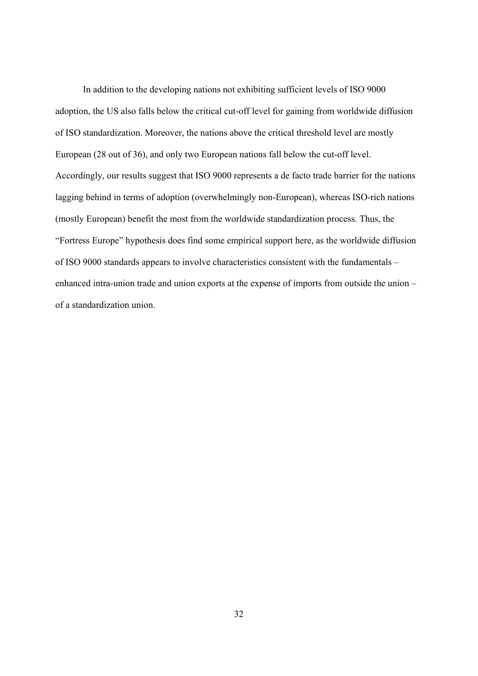In addition to the developing nations not exhibiting sufficient levels of ISO 9000 adoption, the US also falls below the critical cut-off level for gaining from worldwide diffusion of ISO standardization. Moreover, the nations above the critical threshold level are mostly European (28 out of 36), and only two European nations fall below the cut-off level. Accordingly, our results suggest that ISO 9000 represents a de facto trade barrier for the nations lagging behind in terms of adoption (overwhelmingly non-European), whereas ISO-rich nations (mostly European) benefit the most from the worldwide standardization process. Thus, the "Fortress Europe" hypothesis does find some empirical support here, as the worldwide diffusion of ISO 9000 standards appears to involve characteristics consistent with the fundamentals – enhanced intra-union trade and union exports at the expense of imports from outside the union – of a standardization union.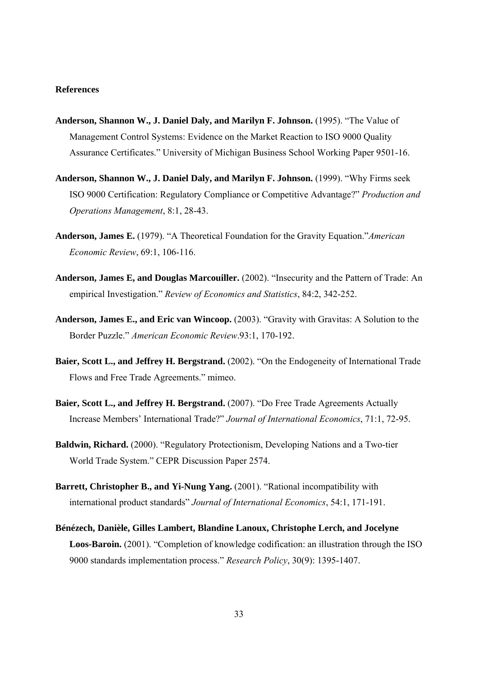#### **References**

- **Anderson, Shannon W., J. Daniel Daly, and Marilyn F. Johnson.** (1995). "The Value of Management Control Systems: Evidence on the Market Reaction to ISO 9000 Quality Assurance Certificates." University of Michigan Business School Working Paper 9501-16.
- **Anderson, Shannon W., J. Daniel Daly, and Marilyn F. Johnson.** (1999). "Why Firms seek ISO 9000 Certification: Regulatory Compliance or Competitive Advantage?" *Production and Operations Management*, 8:1, 28-43.
- **Anderson, James E.** (1979). "A Theoretical Foundation for the Gravity Equation."*American Economic Review*, 69:1, 106-116.
- **Anderson, James E, and Douglas Marcouiller.** (2002). "Insecurity and the Pattern of Trade: An empirical Investigation." *Review of Economics and Statistics*, 84:2, 342-252.
- **Anderson, James E., and Eric van Wincoop.** (2003). "Gravity with Gravitas: A Solution to the Border Puzzle." *American Economic Review*.93:1, 170-192.
- **Baier, Scott L., and Jeffrey H. Bergstrand.** (2002). "On the Endogeneity of International Trade Flows and Free Trade Agreements." mimeo.
- **Baier, Scott L., and Jeffrey H. Bergstrand.** (2007). "Do Free Trade Agreements Actually Increase Members' International Trade?" *Journal of International Economics*, 71:1, 72-95.
- **Baldwin, Richard.** (2000). "Regulatory Protectionism, Developing Nations and a Two-tier World Trade System." CEPR Discussion Paper 2574.
- **Barrett, Christopher B., and Yi-Nung Yang.** (2001). "Rational incompatibility with international product standards" *Journal of International Economics*, 54:1, 171-191.
- **Bénézech, Danièle, Gilles Lambert, Blandine Lanoux, Christophe Lerch, and Jocelyne Loos-Baroin.** (2001). "Completion of knowledge codification: an illustration through the ISO 9000 standards implementation process." *Research Policy*, 30(9): 1395-1407.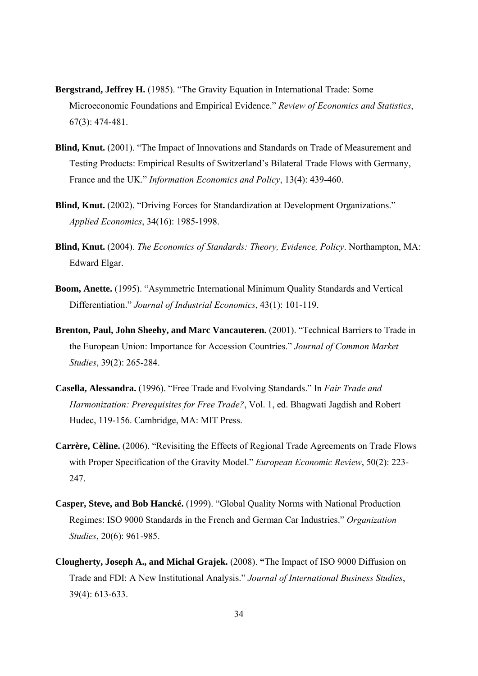- **Bergstrand, Jeffrey H.** (1985). "The Gravity Equation in International Trade: Some Microeconomic Foundations and Empirical Evidence." *Review of Economics and Statistics*, 67(3): 474-481.
- **Blind, Knut.** (2001). "The Impact of Innovations and Standards on Trade of Measurement and Testing Products: Empirical Results of Switzerland's Bilateral Trade Flows with Germany, France and the UK." *Information Economics and Policy*, 13(4): 439-460.
- **Blind, Knut.** (2002). "Driving Forces for Standardization at Development Organizations." *Applied Economics*, 34(16): 1985-1998.
- **Blind, Knut.** (2004). *The Economics of Standards: Theory, Evidence, Policy*. Northampton, MA: Edward Elgar.
- **Boom, Anette.** (1995). "Asymmetric International Minimum Quality Standards and Vertical Differentiation." *Journal of Industrial Economics*, 43(1): 101-119.
- **Brenton, Paul, John Sheehy, and Marc Vancauteren.** (2001). "Technical Barriers to Trade in the European Union: Importance for Accession Countries." *Journal of Common Market Studies*, 39(2): 265-284.
- **Casella, Alessandra.** (1996). "Free Trade and Evolving Standards." In *Fair Trade and Harmonization: Prerequisites for Free Trade?*, Vol. 1, ed. Bhagwati Jagdish and Robert Hudec, 119-156. Cambridge, MA: MIT Press.
- **Carrère, Cèline.** (2006). "Revisiting the Effects of Regional Trade Agreements on Trade Flows with Proper Specification of the Gravity Model." *European Economic Review*, 50(2): 223- 247.
- **Casper, Steve, and Bob Hancké.** (1999). "Global Quality Norms with National Production Regimes: ISO 9000 Standards in the French and German Car Industries." *Organization Studies*, 20(6): 961-985.
- **Clougherty, Joseph A., and Michal Grajek.** (2008). **"**The Impact of ISO 9000 Diffusion on Trade and FDI: A New Institutional Analysis." *Journal of International Business Studies*, 39(4): 613-633.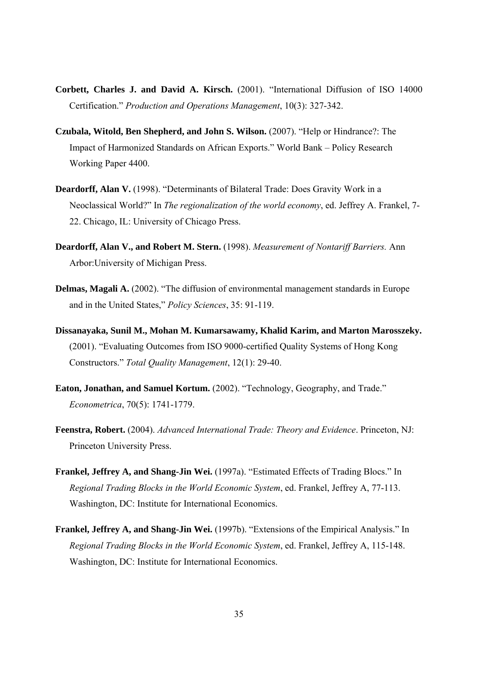- **Corbett, Charles J. and David A. Kirsch.** (2001). "International Diffusion of ISO 14000 Certification." *Production and Operations Management*, 10(3): 327-342.
- **Czubala, Witold, Ben Shepherd, and John S. Wilson.** (2007). "Help or Hindrance?: The Impact of Harmonized Standards on African Exports." World Bank – Policy Research Working Paper 4400.
- **Deardorff, Alan V.** (1998). "Determinants of Bilateral Trade: Does Gravity Work in a Neoclassical World?" In *The regionalization of the world economy*, ed. Jeffrey A. Frankel, 7- 22. Chicago, IL: University of Chicago Press.
- **Deardorff, Alan V., and Robert M. Stern.** (1998). *Measurement of Nontariff Barriers.* Ann Arbor:University of Michigan Press.
- **Delmas, Magali A.** (2002). "The diffusion of environmental management standards in Europe and in the United States," *Policy Sciences*, 35: 91-119.
- **Dissanayaka, Sunil M., Mohan M. Kumarsawamy, Khalid Karim, and Marton Marosszeky.**  (2001). "Evaluating Outcomes from ISO 9000-certified Quality Systems of Hong Kong Constructors." *Total Quality Management*, 12(1): 29-40.
- **Eaton, Jonathan, and Samuel Kortum.** (2002). "Technology, Geography, and Trade." *Econometrica*, 70(5): 1741-1779.
- **Feenstra, Robert.** (2004). *Advanced International Trade: Theory and Evidence*. Princeton, NJ: Princeton University Press.
- **Frankel, Jeffrey A, and Shang-Jin Wei.** (1997a). "Estimated Effects of Trading Blocs." In *Regional Trading Blocks in the World Economic System*, ed. Frankel, Jeffrey A, 77-113. Washington, DC: Institute for International Economics.
- **Frankel, Jeffrey A, and Shang-Jin Wei.** (1997b). "Extensions of the Empirical Analysis." In *Regional Trading Blocks in the World Economic System*, ed. Frankel, Jeffrey A, 115-148. Washington, DC: Institute for International Economics.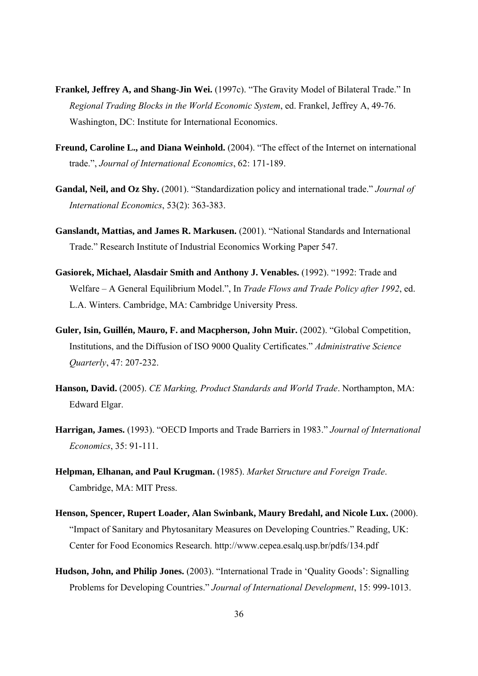- **Frankel, Jeffrey A, and Shang-Jin Wei.** (1997c). "The Gravity Model of Bilateral Trade." In *Regional Trading Blocks in the World Economic System*, ed. Frankel, Jeffrey A, 49-76. Washington, DC: Institute for International Economics.
- **Freund, Caroline L., and Diana Weinhold.** (2004). "The effect of the Internet on international trade.", *Journal of International Economics*, 62: 171-189.
- **Gandal, Neil, and Oz Shy.** (2001). "Standardization policy and international trade." *Journal of International Economics*, 53(2): 363-383.
- **Ganslandt, Mattias, and James R. Markusen.** (2001). "National Standards and International Trade." Research Institute of Industrial Economics Working Paper 547.
- **Gasiorek, Michael, Alasdair Smith and Anthony J. Venables.** (1992). "1992: Trade and Welfare – A General Equilibrium Model.", In *Trade Flows and Trade Policy after 1992*, ed. L.A. Winters. Cambridge, MA: Cambridge University Press.
- **Guler, Isin, Guillén, Mauro, F. and Macpherson, John Muir.** (2002). "Global Competition, Institutions, and the Diffusion of ISO 9000 Quality Certificates." *Administrative Science Quarterly*, 47: 207-232.
- **Hanson, David.** (2005). *CE Marking, Product Standards and World Trade*. Northampton, MA: Edward Elgar.
- **Harrigan, James.** (1993). "OECD Imports and Trade Barriers in 1983." *Journal of International Economics*, 35: 91-111.
- **Helpman, Elhanan, and Paul Krugman.** (1985). *Market Structure and Foreign Trade*. Cambridge, MA: MIT Press.
- **Henson, Spencer, Rupert Loader, Alan Swinbank, Maury Bredahl, and Nicole Lux.** (2000). "Impact of Sanitary and Phytosanitary Measures on Developing Countries." Reading, UK: Center for Food Economics Research. http://www.cepea.esalq.usp.br/pdfs/134.pdf
- **Hudson, John, and Philip Jones.** (2003). "International Trade in 'Quality Goods': Signalling Problems for Developing Countries." *Journal of International Development*, 15: 999-1013.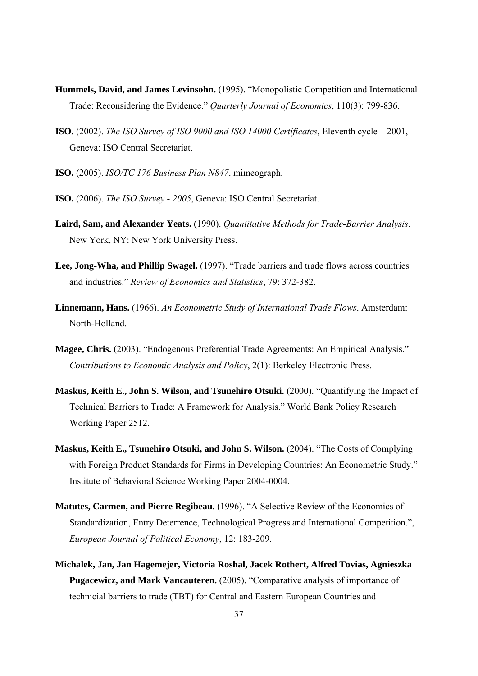- **Hummels, David, and James Levinsohn.** (1995). "Monopolistic Competition and International Trade: Reconsidering the Evidence." *Quarterly Journal of Economics*, 110(3): 799-836.
- **ISO.** (2002). *The ISO Survey of ISO 9000 and ISO 14000 Certificates*, Eleventh cycle 2001, Geneva: ISO Central Secretariat.
- **ISO.** (2005). *ISO/TC 176 Business Plan N847*. mimeograph.
- **ISO.** (2006). *The ISO Survey 2005*, Geneva: ISO Central Secretariat.
- **Laird, Sam, and Alexander Yeats.** (1990). *Quantitative Methods for Trade-Barrier Analysis*. New York, NY: New York University Press.
- **Lee, Jong-Wha, and Phillip Swagel.** (1997). "Trade barriers and trade flows across countries and industries." *Review of Economics and Statistics*, 79: 372-382.
- **Linnemann, Hans.** (1966). *An Econometric Study of International Trade Flows*. Amsterdam: North-Holland.
- **Magee, Chris.** (2003). "Endogenous Preferential Trade Agreements: An Empirical Analysis." *Contributions to Economic Analysis and Policy*, 2(1): Berkeley Electronic Press.
- **Maskus, Keith E., John S. Wilson, and Tsunehiro Otsuki.** (2000). "Quantifying the Impact of Technical Barriers to Trade: A Framework for Analysis." World Bank Policy Research Working Paper 2512.
- **Maskus, Keith E., Tsunehiro Otsuki, and John S. Wilson.** (2004). "The Costs of Complying with Foreign Product Standards for Firms in Developing Countries: An Econometric Study." Institute of Behavioral Science Working Paper 2004-0004.
- **Matutes, Carmen, and Pierre Regibeau.** (1996). "A Selective Review of the Economics of Standardization, Entry Deterrence, Technological Progress and International Competition.", *European Journal of Political Economy*, 12: 183-209.
- **Michalek, Jan, Jan Hagemejer, Victoria Roshal, Jacek Rothert, Alfred Tovias, Agnieszka Pugacewicz, and Mark Vancauteren.** (2005). "Comparative analysis of importance of technicial barriers to trade (TBT) for Central and Eastern European Countries and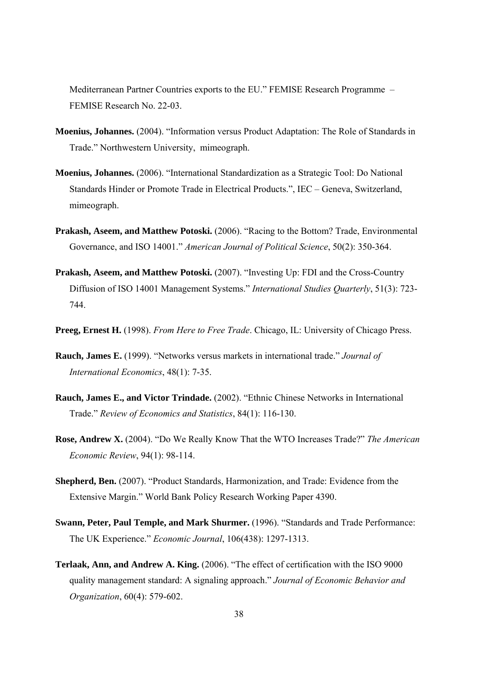Mediterranean Partner Countries exports to the EU." FEMISE Research Programme – FEMISE Research No. 22-03.

- **Moenius, Johannes.** (2004). "Information versus Product Adaptation: The Role of Standards in Trade." Northwestern University, mimeograph.
- **Moenius, Johannes.** (2006). "International Standardization as a Strategic Tool: Do National Standards Hinder or Promote Trade in Electrical Products.", IEC – Geneva, Switzerland, mimeograph.
- **Prakash, Aseem, and Matthew Potoski.** (2006). "Racing to the Bottom? Trade, Environmental Governance, and ISO 14001." *American Journal of Political Science*, 50(2): 350-364.
- **Prakash, Aseem, and Matthew Potoski.** (2007). "Investing Up: FDI and the Cross-Country Diffusion of ISO 14001 Management Systems." *International Studies Quarterly*, 51(3): 723- 744.
- **Preeg, Ernest H.** (1998). *From Here to Free Trade*. Chicago, IL: University of Chicago Press.
- **Rauch, James E.** (1999). "Networks versus markets in international trade." *Journal of International Economics*, 48(1): 7-35.
- **Rauch, James E., and Victor Trindade.** (2002). "Ethnic Chinese Networks in International Trade." *Review of Economics and Statistics*, 84(1): 116-130.
- **Rose, Andrew X.** (2004). "Do We Really Know That the WTO Increases Trade?" *The American Economic Review*, 94(1): 98-114.
- **Shepherd, Ben.** (2007). "Product Standards, Harmonization, and Trade: Evidence from the Extensive Margin." World Bank Policy Research Working Paper 4390.
- **Swann, Peter, Paul Temple, and Mark Shurmer.** (1996). "Standards and Trade Performance: The UK Experience." *Economic Journal*, 106(438): 1297-1313.
- **Terlaak, Ann, and Andrew A. King.** (2006). "The effect of certification with the ISO 9000 quality management standard: A signaling approach." *Journal of Economic Behavior and Organization*, 60(4): 579-602.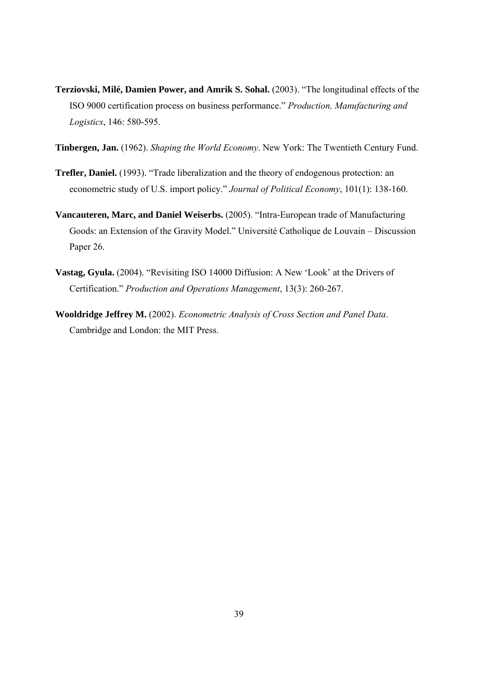- **Terziovski, Milé, Damien Power, and Amrik S. Sohal.** (2003). "The longitudinal effects of the ISO 9000 certification process on business performance." *Production, Manufacturing and Logistics*, 146: 580-595.
- **Tinbergen, Jan.** (1962). *Shaping the World Economy*. New York: The Twentieth Century Fund.
- **Trefler, Daniel.** (1993). "Trade liberalization and the theory of endogenous protection: an econometric study of U.S. import policy." *Journal of Political Economy*, 101(1): 138-160.
- **Vancauteren, Marc, and Daniel Weiserbs.** (2005). "Intra-European trade of Manufacturing Goods: an Extension of the Gravity Model." Université Catholique de Louvain – Discussion Paper 26.
- **Vastag, Gyula.** (2004). "Revisiting ISO 14000 Diffusion: A New 'Look' at the Drivers of Certification." *Production and Operations Management*, 13(3): 260-267.
- **Wooldridge Jeffrey M.** (2002). *Econometric Analysis of Cross Section and Panel Data*. Cambridge and London: the MIT Press.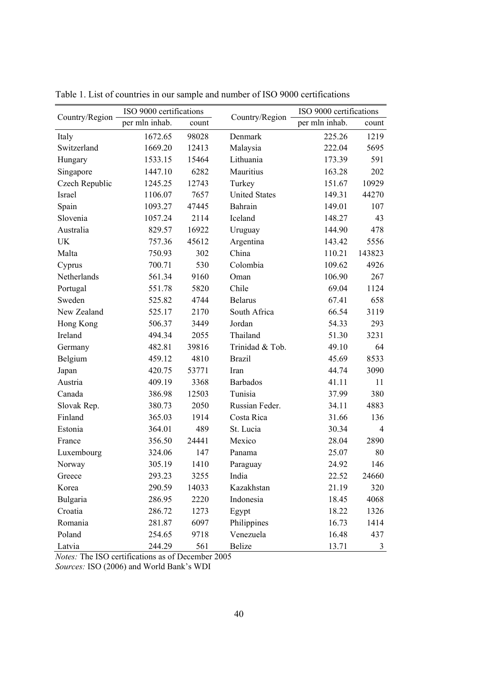| Country/Region | ISO 9000 certifications |       |                      | ISO 9000 certifications |                |  |
|----------------|-------------------------|-------|----------------------|-------------------------|----------------|--|
|                | per mln inhab.          | count | Country/Region       | per mln inhab.          | count          |  |
| Italy          | 1672.65                 | 98028 | Denmark              | 225.26                  | 1219           |  |
| Switzerland    | 1669.20                 | 12413 | Malaysia             | 222.04                  | 5695           |  |
| Hungary        | 1533.15                 | 15464 | Lithuania            | 173.39                  | 591            |  |
| Singapore      | 1447.10                 | 6282  | Mauritius            | 163.28                  | 202            |  |
| Czech Republic | 1245.25                 | 12743 | Turkey               | 151.67                  | 10929          |  |
| Israel         | 1106.07                 | 7657  | <b>United States</b> | 149.31                  | 44270          |  |
| Spain          | 1093.27                 | 47445 | Bahrain              | 149.01                  | 107            |  |
| Slovenia       | 1057.24                 | 2114  | Iceland              | 148.27                  | 43             |  |
| Australia      | 829.57                  | 16922 | Uruguay              | 144.90                  | 478            |  |
| UK             | 757.36                  | 45612 | Argentina            | 143.42                  | 5556           |  |
| Malta          | 750.93                  | 302   | China                | 110.21                  | 143823         |  |
| Cyprus         | 700.71                  | 530   | Colombia             | 109.62                  | 4926           |  |
| Netherlands    | 561.34                  | 9160  | Oman                 | 106.90                  | 267            |  |
| Portugal       | 551.78                  | 5820  | Chile                | 69.04                   | 1124           |  |
| Sweden         | 525.82                  | 4744  | <b>Belarus</b>       | 67.41                   | 658            |  |
| New Zealand    | 525.17                  | 2170  | South Africa         | 66.54                   | 3119           |  |
| Hong Kong      | 506.37                  | 3449  | Jordan               | 54.33                   | 293            |  |
| Ireland        | 494.34                  | 2055  | Thailand             | 51.30                   | 3231           |  |
| Germany        | 482.81                  | 39816 | Trinidad & Tob.      | 49.10                   | 64             |  |
| Belgium        | 459.12                  | 4810  | <b>Brazil</b>        | 45.69                   | 8533           |  |
| Japan          | 420.75                  | 53771 | Iran                 | 44.74                   | 3090           |  |
| Austria        | 409.19                  | 3368  | <b>Barbados</b>      | 41.11                   | 11             |  |
| Canada         | 386.98                  | 12503 | Tunisia              | 37.99                   | 380            |  |
| Slovak Rep.    | 380.73                  | 2050  | Russian Feder.       | 34.11                   | 4883           |  |
| Finland        | 365.03                  | 1914  | Costa Rica           | 31.66                   | 136            |  |
| Estonia        | 364.01                  | 489   | St. Lucia            | 30.34                   | $\overline{4}$ |  |
| France         | 356.50                  | 24441 | Mexico               | 28.04                   | 2890           |  |
| Luxembourg     | 324.06                  | 147   | Panama               | 25.07                   | 80             |  |
| Norway         | 305.19                  | 1410  | Paraguay             | 24.92                   | 146            |  |
| Greece         | 293.23                  | 3255  | India                | 22.52                   | 24660          |  |
| Korea          | 290.59                  | 14033 | Kazakhstan           | 21.19                   | 320            |  |
| Bulgaria       | 286.95                  | 2220  | Indonesia            | 18.45                   | 4068           |  |
| Croatia        | 286.72                  | 1273  | Egypt                | 18.22                   | 1326           |  |
| Romania        | 281.87                  | 6097  | Philippines          | 16.73                   | 1414           |  |
| Poland         | 254.65                  | 9718  | Venezuela            | 16.48                   | 437            |  |
| Latvia         | 244.29                  | 561   | Belize               | 13.71                   | 3              |  |

Table 1. List of countries in our sample and number of ISO 9000 certifications

*Notes:* The ISO certifications as of December 2005

*Sources:* ISO (2006) and World Bank's WDI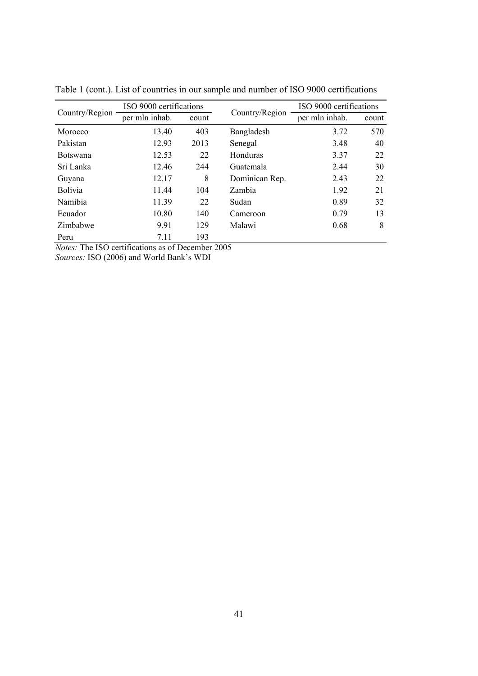| Country/Region  | ISO 9000 certifications |       |                | ISO 9000 certifications |       |  |
|-----------------|-------------------------|-------|----------------|-------------------------|-------|--|
|                 | per mln inhab.          | count | Country/Region | per mln inhab.          | count |  |
| Morocco         | 13.40                   | 403   | Bangladesh     | 3.72                    | 570   |  |
| Pakistan        | 12.93                   | 2013  | Senegal        | 3.48                    | 40    |  |
| <b>Botswana</b> | 12.53                   | 22    | Honduras       | 3.37                    | 22    |  |
| Sri Lanka       | 12.46                   | 244   | Guatemala      | 2.44                    | 30    |  |
| Guyana          | 12.17                   | 8     | Dominican Rep. | 2.43                    | 22    |  |
| <b>Bolivia</b>  | 11.44                   | 104   | <b>Zambia</b>  | 1.92                    | 21    |  |
| Namibia         | 11.39                   | 22    | Sudan          | 0.89                    | 32    |  |
| Ecuador         | 10.80                   | 140   | Cameroon       | 0.79                    | 13    |  |
| Zimbabwe        | 9.91                    | 129   | Malawi         | 0.68                    | 8     |  |
| Peru            | 7.11                    | 193   |                |                         |       |  |

Table 1 (cont.). List of countries in our sample and number of ISO 9000 certifications

*Notes:* The ISO certifications as of December 2005

*Sources:* ISO (2006) and World Bank's WDI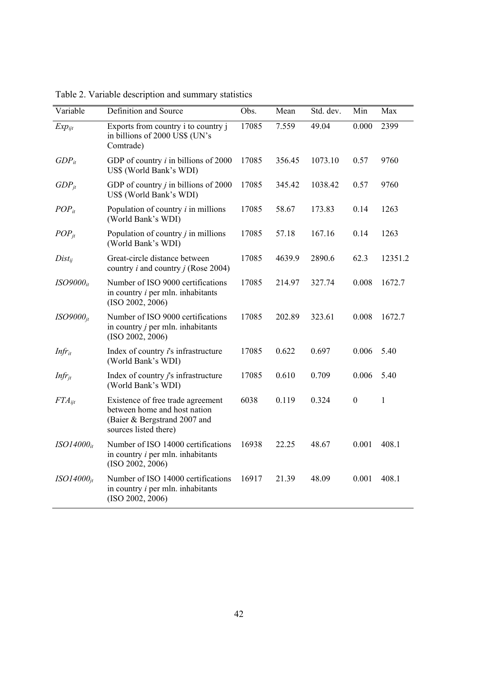| Variable           | Definition and Source                                                                                                      | Obs.  | Mean   | Std. dev. | Min              | Max     |
|--------------------|----------------------------------------------------------------------------------------------------------------------------|-------|--------|-----------|------------------|---------|
| $Exp_{ijt}$        | Exports from country i to country j<br>in billions of 2000 US\$ (UN's<br>Comtrade)                                         | 17085 | 7.559  | 49.04     | 0.000            | 2399    |
| $GDP_{it}$         | GDP of country $i$ in billions of 2000<br>US\$ (World Bank's WDI)                                                          | 17085 | 356.45 | 1073.10   | 0.57             | 9760    |
| $GDP_{it}$         | GDP of country $j$ in billions of 2000<br>US\$ (World Bank's WDI)                                                          | 17085 | 345.42 | 1038.42   | 0.57             | 9760    |
| $POP_{it}$         | Population of country $i$ in millions<br>(World Bank's WDI)                                                                | 17085 | 58.67  | 173.83    | 0.14             | 1263    |
| $POP_{it}$         | Population of country $j$ in millions<br>(World Bank's WDI)                                                                | 17085 | 57.18  | 167.16    | 0.14             | 1263    |
| $Dist_{ii}$        | Great-circle distance between<br>country <i>i</i> and country <i>j</i> (Rose 2004)                                         | 17085 | 4639.9 | 2890.6    | 62.3             | 12351.2 |
| $ISO9000_{it}$     | Number of ISO 9000 certifications<br>in country $i$ per mln. inhabitants<br>(ISO 2002, 2006)                               | 17085 | 214.97 | 327.74    | 0.008            | 1672.7  |
| $ISO9000_{it}$     | Number of ISO 9000 certifications<br>in country $j$ per mln. inhabitants<br>(ISO 2002, 2006)                               | 17085 | 202.89 | 323.61    | 0.008            | 1672.7  |
| $Infr_{it}$        | Index of country <i>i</i> 's infrastructure<br>(World Bank's WDI)                                                          | 17085 | 0.622  | 0.697     | 0.006            | 5.40    |
| $Infr_{it}$        | Index of country $j$ 's infrastructure<br>(World Bank's WDI)                                                               | 17085 | 0.610  | 0.709     | 0.006            | 5.40    |
| $FTA_{\text{ijt}}$ | Existence of free trade agreement<br>between home and host nation<br>(Baier & Bergstrand 2007 and<br>sources listed there) | 6038  | 0.119  | 0.324     | $\boldsymbol{0}$ | 1       |
| $ISO14000_{it}$    | Number of ISO 14000 certifications<br>in country $i$ per mln. inhabitants<br>(ISO 2002, 2006)                              | 16938 | 22.25  | 48.67     | 0.001            | 408.1   |
| $ISO14000_{it}$    | Number of ISO 14000 certifications<br>in country $i$ per mln. inhabitants<br>(ISO 2002, 2006)                              | 16917 | 21.39  | 48.09     | 0.001            | 408.1   |

Table 2. Variable description and summary statistics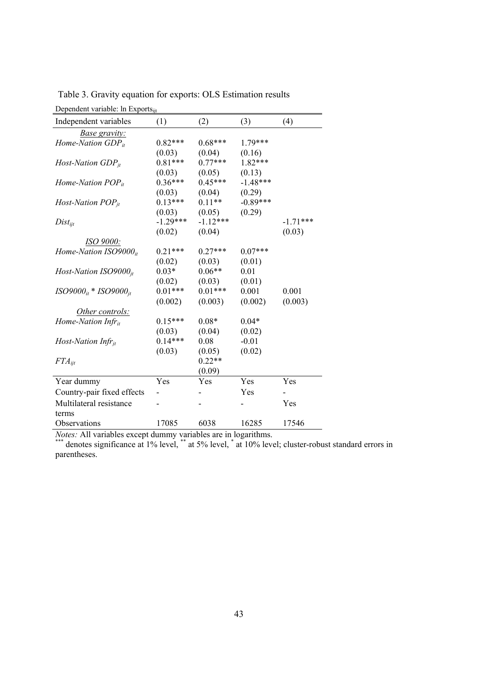| $D$ C $D$ C $n$ uc $n$ , variably. In $L$ A $D$ U $\omega$ <sub>llt</sub> |            |            |            |            |
|---------------------------------------------------------------------------|------------|------------|------------|------------|
| Independent variables                                                     | (1)        | (2)        | (3)        | (4)        |
| <i>Base gravity:</i>                                                      |            |            |            |            |
| Home-Nation $GDP_{it}$                                                    | $0.82***$  | $0.68***$  | $1.79***$  |            |
|                                                                           | (0.03)     | (0.04)     | (0.16)     |            |
| Host-Nation $GDP_{it}$                                                    | $0.81***$  | $0.77***$  | $1.82***$  |            |
|                                                                           | (0.03)     | (0.05)     | (0.13)     |            |
| Home-Nation $POP_{it}$                                                    | $0.36***$  | $0.45***$  | $-1.48***$ |            |
|                                                                           | (0.03)     | (0.04)     | (0.29)     |            |
| Host-Nation $POP_{it}$                                                    | $0.13***$  | $0.11**$   | $-0.89***$ |            |
|                                                                           | (0.03)     | (0.05)     | (0.29)     |            |
| $Dist_{ijt}$                                                              | $-1.29***$ | $-1.12***$ |            | $-1.71***$ |
|                                                                           | (0.02)     | (0.04)     |            | (0.03)     |
| ISO 9000:                                                                 |            |            |            |            |
| Home-Nation $ISO9000it$                                                   | $0.21***$  | $0.27***$  | $0.07***$  |            |
|                                                                           | (0.02)     | (0.03)     | (0.01)     |            |
| Host-Nation ISO9000 $_{it}$                                               | $0.03*$    | $0.06**$   | 0.01       |            |
|                                                                           | (0.02)     | (0.03)     | (0.01)     |            |
| $ISO9000_{it} * ISO9000_{it}$                                             | $0.01***$  | $0.01***$  | 0.001      | 0.001      |
|                                                                           | (0.002)    | (0.003)    | (0.002)    | (0.003)    |
| Other controls:                                                           |            |            |            |            |
| Home-Nation Infr $r_{it}$                                                 | $0.15***$  | $0.08*$    | $0.04*$    |            |
|                                                                           | (0.03)     | (0.04)     | (0.02)     |            |
| Host-Nation Infr $_{it}$                                                  | $0.14***$  | 0.08       | $-0.01$    |            |
|                                                                           | (0.03)     | (0.05)     | (0.02)     |            |
| $FTA_{\text{iit}}$                                                        |            | $0.22**$   |            |            |
|                                                                           |            | (0.09)     |            |            |
| Year dummy                                                                | Yes        | Yes        | Yes        | Yes        |
| Country-pair fixed effects                                                |            |            | Yes        |            |
| Multilateral resistance                                                   |            |            |            | Yes        |
| terms                                                                     |            |            |            |            |
| Observations                                                              | 17085      | 6038       | 16285      | 17546      |
|                                                                           |            |            |            |            |

Table 3. Gravity equation for exports: OLS Estimation results Dependent variable: In Exports...

*Notes*: All variables except dummy variables are in logarithms.<br>\*\*\* denotes significance at 1% level, \*\* at 5% level, \* at 10% level; cluster-robust standard errors in parentheses.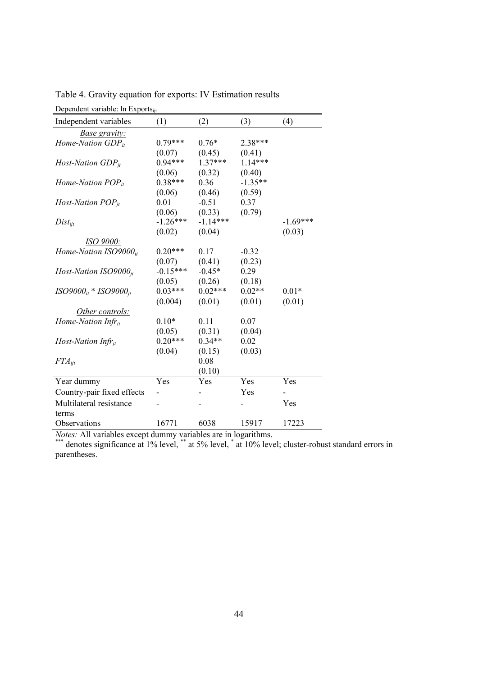| Dependent variable: In Exports <sub>iit</sub> |            |            |           |            |  |  |  |
|-----------------------------------------------|------------|------------|-----------|------------|--|--|--|
| Independent variables                         | (1)        | (2)        | (3)       | (4)        |  |  |  |
| <b>Base gravity:</b>                          |            |            |           |            |  |  |  |
| Home-Nation GDP <sub>it</sub>                 | $0.79***$  | $0.76*$    | 2.38***   |            |  |  |  |
|                                               | (0.07)     | (0.45)     | (0.41)    |            |  |  |  |
| Host-Nation $GDP_{it}$                        | $0.94***$  | $1.37***$  | $1.14***$ |            |  |  |  |
|                                               | (0.06)     | (0.32)     | (0.40)    |            |  |  |  |
| Home-Nation $POP_{it}$                        | $0.38***$  | 0.36       | $-1.35**$ |            |  |  |  |
|                                               | (0.06)     | (0.46)     | (0.59)    |            |  |  |  |
| Host-Nation $POP_{it}$                        | 0.01       | $-0.51$    | 0.37      |            |  |  |  |
|                                               | (0.06)     | (0.33)     | (0.79)    |            |  |  |  |
| $Dist_{iit}$                                  | $-1.26***$ | $-1.14***$ |           | $-1.69***$ |  |  |  |
|                                               | (0.02)     | (0.04)     |           | (0.03)     |  |  |  |
| <i>ISO 9000:</i>                              |            |            |           |            |  |  |  |
| Home-Nation $ISO9000it$                       | $0.20***$  | 0.17       | $-0.32$   |            |  |  |  |
|                                               | (0.07)     | (0.41)     | (0.23)    |            |  |  |  |
| Host-Nation ISO9000 $_{it}$                   | $-0.15***$ | $-0.45*$   | 0.29      |            |  |  |  |
|                                               | (0.05)     | (0.26)     | (0.18)    |            |  |  |  |
| $ISO9000_{it} * ISO9000_{it}$                 | $0.03***$  | $0.02***$  | $0.02**$  | $0.01*$    |  |  |  |
|                                               | (0.004)    | (0.01)     | (0.01)    | (0.01)     |  |  |  |
| Other controls:                               |            |            |           |            |  |  |  |
| Home-Nation Infr $r_{it}$                     | $0.10*$    | 0.11       | 0.07      |            |  |  |  |
|                                               | (0.05)     | (0.31)     | (0.04)    |            |  |  |  |
| Host-Nation Infr $_{it}$                      | $0.20***$  | $0.34**$   | 0.02      |            |  |  |  |
|                                               | (0.04)     | (0.15)     | (0.03)    |            |  |  |  |
| $FTA_{ijt}$                                   |            | 0.08       |           |            |  |  |  |
|                                               |            | (0.10)     |           |            |  |  |  |
| Year dummy                                    | Yes        | Yes        | Yes       | Yes        |  |  |  |
| Country-pair fixed effects                    |            |            | Yes       |            |  |  |  |
| Multilateral resistance                       |            |            |           | Yes        |  |  |  |
| terms                                         |            |            |           |            |  |  |  |
| Observations                                  | 16771      | 6038       | 15917     | 17223      |  |  |  |

Table 4. Gravity equation for exports: IV Estimation results

*Notes*: All variables except dummy variables are in logarithms.<br>\*\*\* denotes significance at 1% level, \*\* at 5% level, \* at 10% level; cluster-robust standard errors in parentheses.